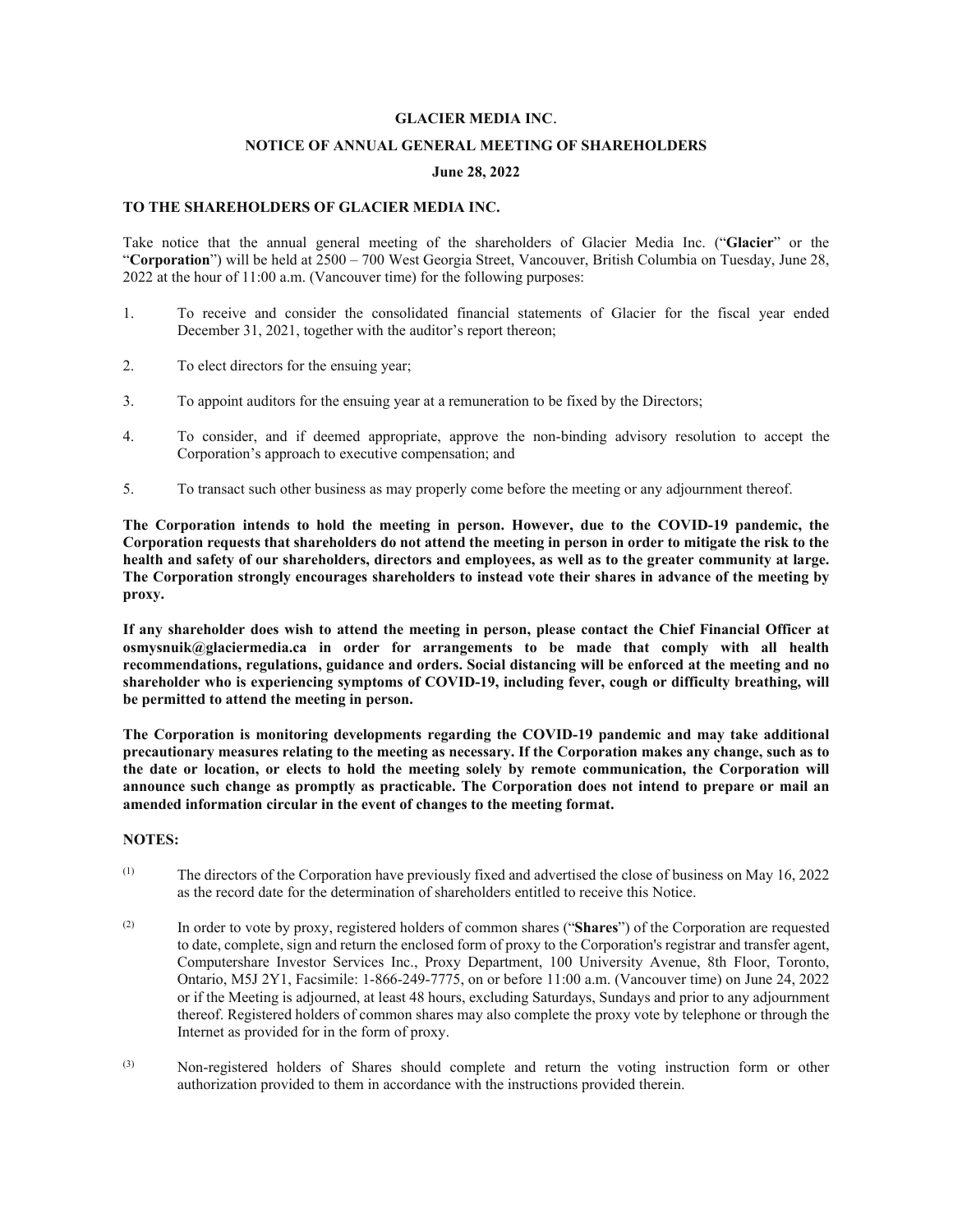#### **GLACIER MEDIA INC**.

## **NOTICE OF ANNUAL GENERAL MEETING OF SHAREHOLDERS**

#### **June 28, 2022**

## **TO THE SHAREHOLDERS OF GLACIER MEDIA INC.**

Take notice that the annual general meeting of the shareholders of Glacier Media Inc. ("**Glacier**" or the "**Corporation**") will be held at 2500 – 700 West Georgia Street, Vancouver, British Columbia on Tuesday, June 28, 2022 at the hour of 11:00 a.m. (Vancouver time) for the following purposes:

- 1. To receive and consider the consolidated financial statements of Glacier for the fiscal year ended December 31, 2021, together with the auditor's report thereon;
- 2. To elect directors for the ensuing year;
- 3. To appoint auditors for the ensuing year at a remuneration to be fixed by the Directors;
- 4. To consider, and if deemed appropriate, approve the non-binding advisory resolution to accept the Corporation's approach to executive compensation; and
- 5. To transact such other business as may properly come before the meeting or any adjournment thereof.

**The Corporation intends to hold the meeting in person. However, due to the COVID-19 pandemic, the Corporation requests that shareholders do not attend the meeting in person in order to mitigate the risk to the health and safety of our shareholders, directors and employees, as well as to the greater community at large. The Corporation strongly encourages shareholders to instead vote their shares in advance of the meeting by proxy.** 

**If any shareholder does wish to attend the meeting in person, please contact the Chief Financial Officer at osmysnuik@glaciermedia.ca in order for arrangements to be made that comply with all health recommendations, regulations, guidance and orders. Social distancing will be enforced at the meeting and no shareholder who is experiencing symptoms of COVID-19, including fever, cough or difficulty breathing, will be permitted to attend the meeting in person.** 

**The Corporation is monitoring developments regarding the COVID-19 pandemic and may take additional precautionary measures relating to the meeting as necessary. If the Corporation makes any change, such as to the date or location, or elects to hold the meeting solely by remote communication, the Corporation will announce such change as promptly as practicable. The Corporation does not intend to prepare or mail an amended information circular in the event of changes to the meeting format.** 

## **NOTES:**

- (1) The directors of the Corporation have previously fixed and advertised the close of business on May 16, 2022 as the record date for the determination of shareholders entitled to receive this Notice.
- (2) In order to vote by proxy, registered holders of common shares ("**Shares**") of the Corporation are requested to date, complete, sign and return the enclosed form of proxy to the Corporation's registrar and transfer agent, Computershare Investor Services Inc., Proxy Department, 100 University Avenue, 8th Floor, Toronto, Ontario, M5J 2Y1, Facsimile: 1-866-249-7775, on or before 11:00 a.m. (Vancouver time) on June 24, 2022 or if the Meeting is adjourned, at least 48 hours, excluding Saturdays, Sundays and prior to any adjournment thereof. Registered holders of common shares may also complete the proxy vote by telephone or through the Internet as provided for in the form of proxy.
- (3) Non-registered holders of Shares should complete and return the voting instruction form or other authorization provided to them in accordance with the instructions provided therein.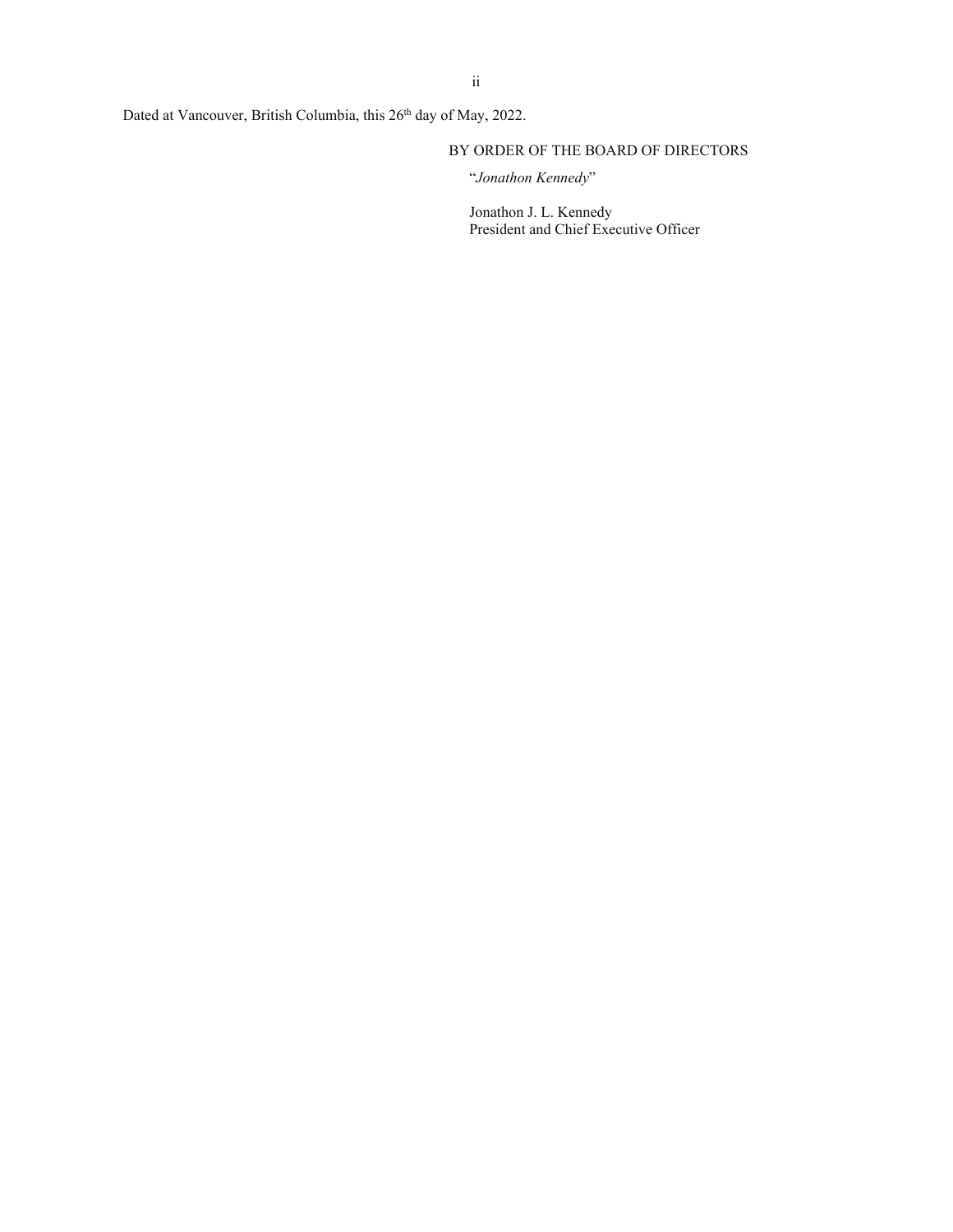Dated at Vancouver, British Columbia, this 26<sup>th</sup> day of May, 2022.

# BY ORDER OF THE BOARD OF DIRECTORS

"*Jonathon Kennedy*"

Jonathon J. L. Kennedy President and Chief Executive Officer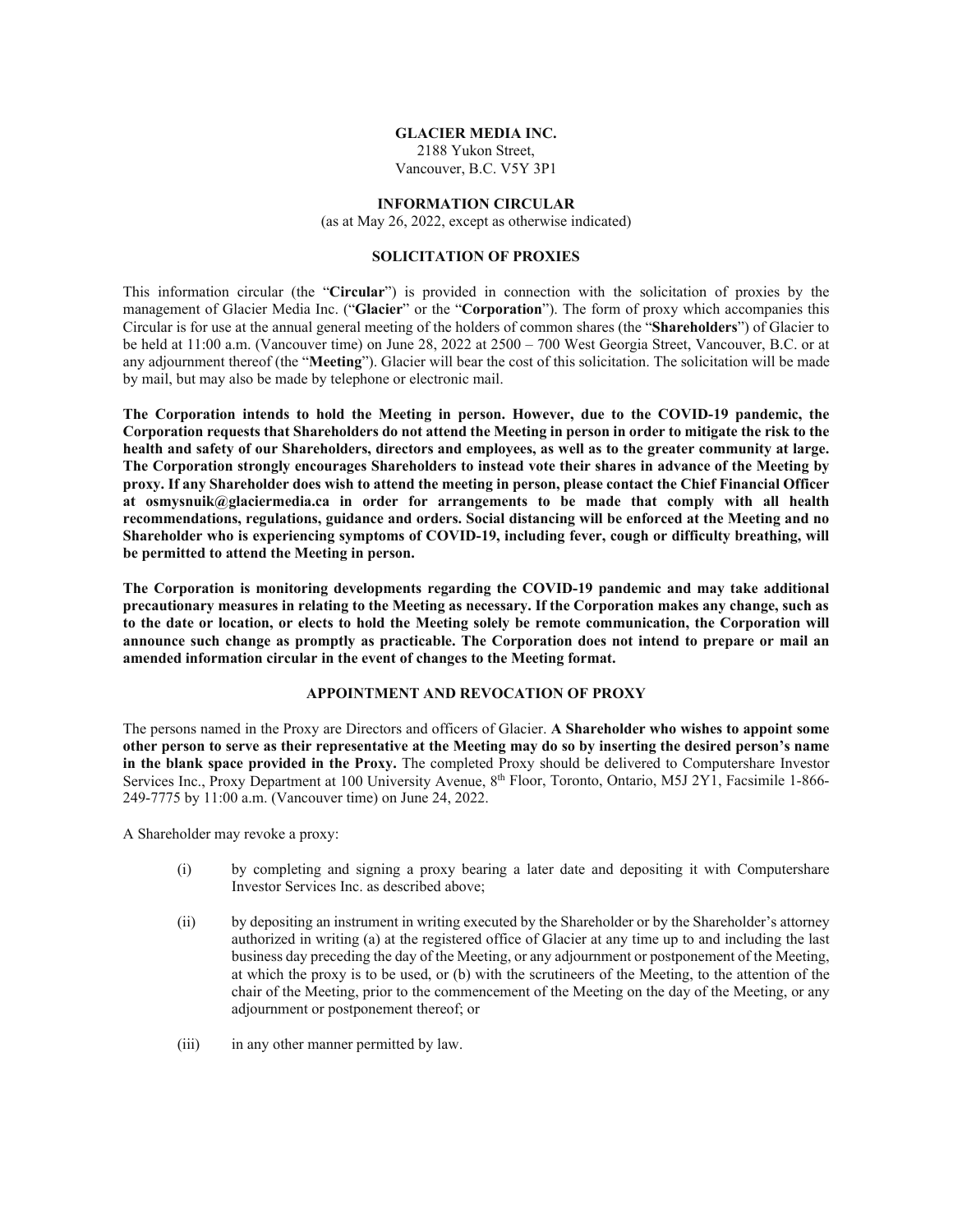#### **GLACIER MEDIA INC.**

2188 Yukon Street, Vancouver, B.C. V5Y 3P1

#### **INFORMATION CIRCULAR**

(as at May 26, 2022, except as otherwise indicated)

## **SOLICITATION OF PROXIES**

This information circular (the "**Circular**") is provided in connection with the solicitation of proxies by the management of Glacier Media Inc. ("**Glacier**" or the "**Corporation**"). The form of proxy which accompanies this Circular is for use at the annual general meeting of the holders of common shares (the "**Shareholders**") of Glacier to be held at 11:00 a.m. (Vancouver time) on June 28, 2022 at 2500 – 700 West Georgia Street, Vancouver, B.C. or at any adjournment thereof (the "**Meeting**"). Glacier will bear the cost of this solicitation. The solicitation will be made by mail, but may also be made by telephone or electronic mail.

**The Corporation intends to hold the Meeting in person. However, due to the COVID-19 pandemic, the Corporation requests that Shareholders do not attend the Meeting in person in order to mitigate the risk to the health and safety of our Shareholders, directors and employees, as well as to the greater community at large. The Corporation strongly encourages Shareholders to instead vote their shares in advance of the Meeting by proxy. If any Shareholder does wish to attend the meeting in person, please contact the Chief Financial Officer at osmysnuik@glaciermedia.ca in order for arrangements to be made that comply with all health recommendations, regulations, guidance and orders. Social distancing will be enforced at the Meeting and no Shareholder who is experiencing symptoms of COVID-19, including fever, cough or difficulty breathing, will be permitted to attend the Meeting in person.** 

**The Corporation is monitoring developments regarding the COVID-19 pandemic and may take additional precautionary measures in relating to the Meeting as necessary. If the Corporation makes any change, such as to the date or location, or elects to hold the Meeting solely be remote communication, the Corporation will announce such change as promptly as practicable. The Corporation does not intend to prepare or mail an amended information circular in the event of changes to the Meeting format.** 

## **APPOINTMENT AND REVOCATION OF PROXY**

The persons named in the Proxy are Directors and officers of Glacier. **A Shareholder who wishes to appoint some other person to serve as their representative at the Meeting may do so by inserting the desired person's name in the blank space provided in the Proxy.** The completed Proxy should be delivered to Computershare Investor Services Inc., Proxy Department at 100 University Avenue, 8<sup>th</sup> Floor, Toronto, Ontario, M5J 2Y1, Facsimile 1-866-249-7775 by 11:00 a.m. (Vancouver time) on June 24, 2022.

A Shareholder may revoke a proxy:

- (i) by completing and signing a proxy bearing a later date and depositing it with Computershare Investor Services Inc. as described above;
- (ii) by depositing an instrument in writing executed by the Shareholder or by the Shareholder's attorney authorized in writing (a) at the registered office of Glacier at any time up to and including the last business day preceding the day of the Meeting, or any adjournment or postponement of the Meeting, at which the proxy is to be used, or (b) with the scrutineers of the Meeting, to the attention of the chair of the Meeting, prior to the commencement of the Meeting on the day of the Meeting, or any adjournment or postponement thereof; or
- (iii) in any other manner permitted by law.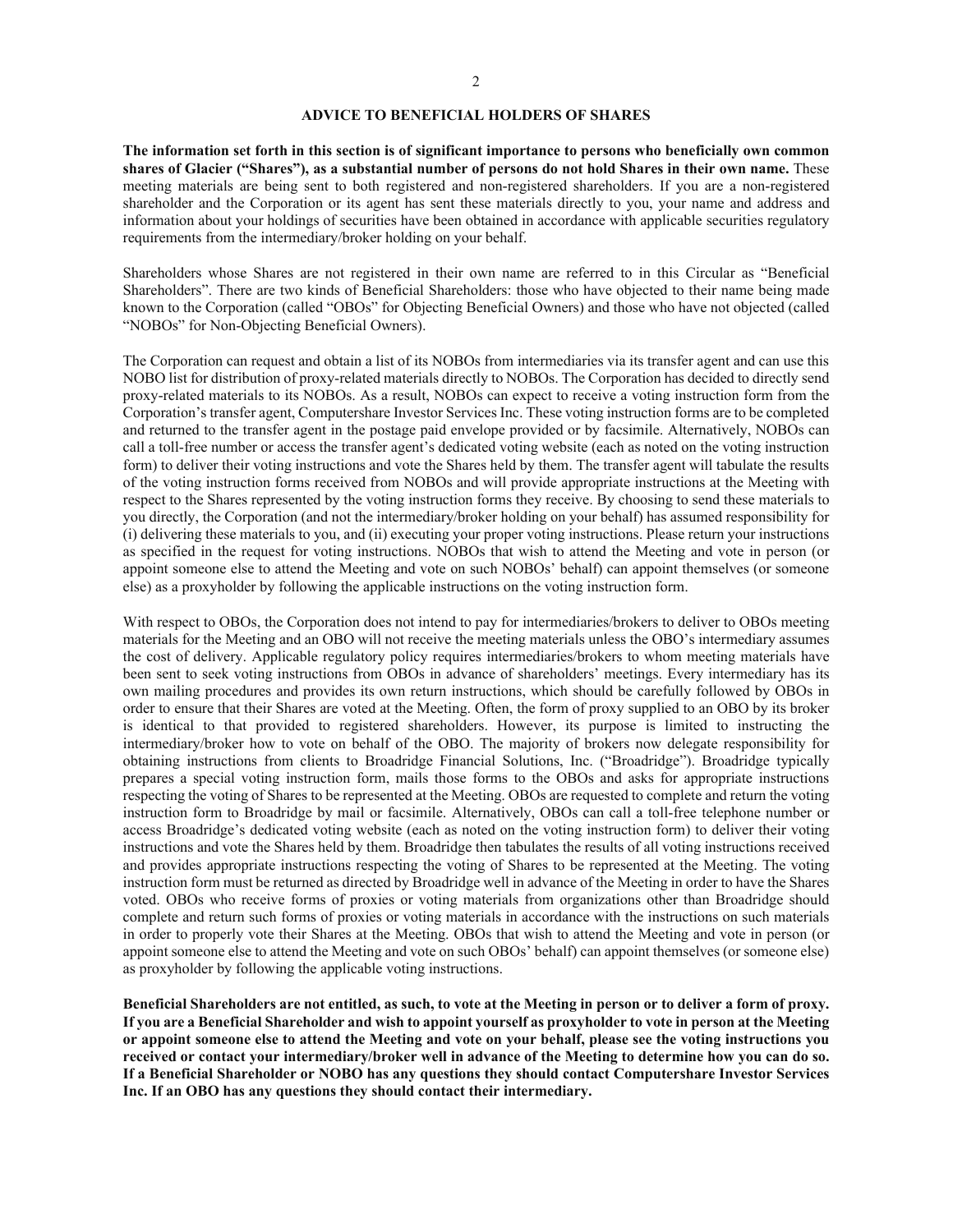#### **ADVICE TO BENEFICIAL HOLDERS OF SHARES**

**The information set forth in this section is of significant importance to persons who beneficially own common shares of Glacier ("Shares"), as a substantial number of persons do not hold Shares in their own name.** These meeting materials are being sent to both registered and non-registered shareholders. If you are a non-registered shareholder and the Corporation or its agent has sent these materials directly to you, your name and address and information about your holdings of securities have been obtained in accordance with applicable securities regulatory requirements from the intermediary/broker holding on your behalf.

Shareholders whose Shares are not registered in their own name are referred to in this Circular as "Beneficial Shareholders". There are two kinds of Beneficial Shareholders: those who have objected to their name being made known to the Corporation (called "OBOs" for Objecting Beneficial Owners) and those who have not objected (called "NOBOs" for Non-Objecting Beneficial Owners).

The Corporation can request and obtain a list of its NOBOs from intermediaries via its transfer agent and can use this NOBO list for distribution of proxy-related materials directly to NOBOs. The Corporation has decided to directly send proxy-related materials to its NOBOs. As a result, NOBOs can expect to receive a voting instruction form from the Corporation's transfer agent, Computershare Investor Services Inc. These voting instruction forms are to be completed and returned to the transfer agent in the postage paid envelope provided or by facsimile. Alternatively, NOBOs can call a toll-free number or access the transfer agent's dedicated voting website (each as noted on the voting instruction form) to deliver their voting instructions and vote the Shares held by them. The transfer agent will tabulate the results of the voting instruction forms received from NOBOs and will provide appropriate instructions at the Meeting with respect to the Shares represented by the voting instruction forms they receive. By choosing to send these materials to you directly, the Corporation (and not the intermediary/broker holding on your behalf) has assumed responsibility for (i) delivering these materials to you, and (ii) executing your proper voting instructions. Please return your instructions as specified in the request for voting instructions. NOBOs that wish to attend the Meeting and vote in person (or appoint someone else to attend the Meeting and vote on such NOBOs' behalf) can appoint themselves (or someone else) as a proxyholder by following the applicable instructions on the voting instruction form.

With respect to OBOs, the Corporation does not intend to pay for intermediaries/brokers to deliver to OBOs meeting materials for the Meeting and an OBO will not receive the meeting materials unless the OBO's intermediary assumes the cost of delivery. Applicable regulatory policy requires intermediaries/brokers to whom meeting materials have been sent to seek voting instructions from OBOs in advance of shareholders' meetings. Every intermediary has its own mailing procedures and provides its own return instructions, which should be carefully followed by OBOs in order to ensure that their Shares are voted at the Meeting. Often, the form of proxy supplied to an OBO by its broker is identical to that provided to registered shareholders. However, its purpose is limited to instructing the intermediary/broker how to vote on behalf of the OBO. The majority of brokers now delegate responsibility for obtaining instructions from clients to Broadridge Financial Solutions, Inc. ("Broadridge"). Broadridge typically prepares a special voting instruction form, mails those forms to the OBOs and asks for appropriate instructions respecting the voting of Shares to be represented at the Meeting. OBOs are requested to complete and return the voting instruction form to Broadridge by mail or facsimile. Alternatively, OBOs can call a toll-free telephone number or access Broadridge's dedicated voting website (each as noted on the voting instruction form) to deliver their voting instructions and vote the Shares held by them. Broadridge then tabulates the results of all voting instructions received and provides appropriate instructions respecting the voting of Shares to be represented at the Meeting. The voting instruction form must be returned as directed by Broadridge well in advance of the Meeting in order to have the Shares voted. OBOs who receive forms of proxies or voting materials from organizations other than Broadridge should complete and return such forms of proxies or voting materials in accordance with the instructions on such materials in order to properly vote their Shares at the Meeting. OBOs that wish to attend the Meeting and vote in person (or appoint someone else to attend the Meeting and vote on such OBOs' behalf) can appoint themselves (or someone else) as proxyholder by following the applicable voting instructions.

**Beneficial Shareholders are not entitled, as such, to vote at the Meeting in person or to deliver a form of proxy. If you are a Beneficial Shareholder and wish to appoint yourself as proxyholder to vote in person at the Meeting or appoint someone else to attend the Meeting and vote on your behalf, please see the voting instructions you received or contact your intermediary/broker well in advance of the Meeting to determine how you can do so. If a Beneficial Shareholder or NOBO has any questions they should contact Computershare Investor Services Inc. If an OBO has any questions they should contact their intermediary.**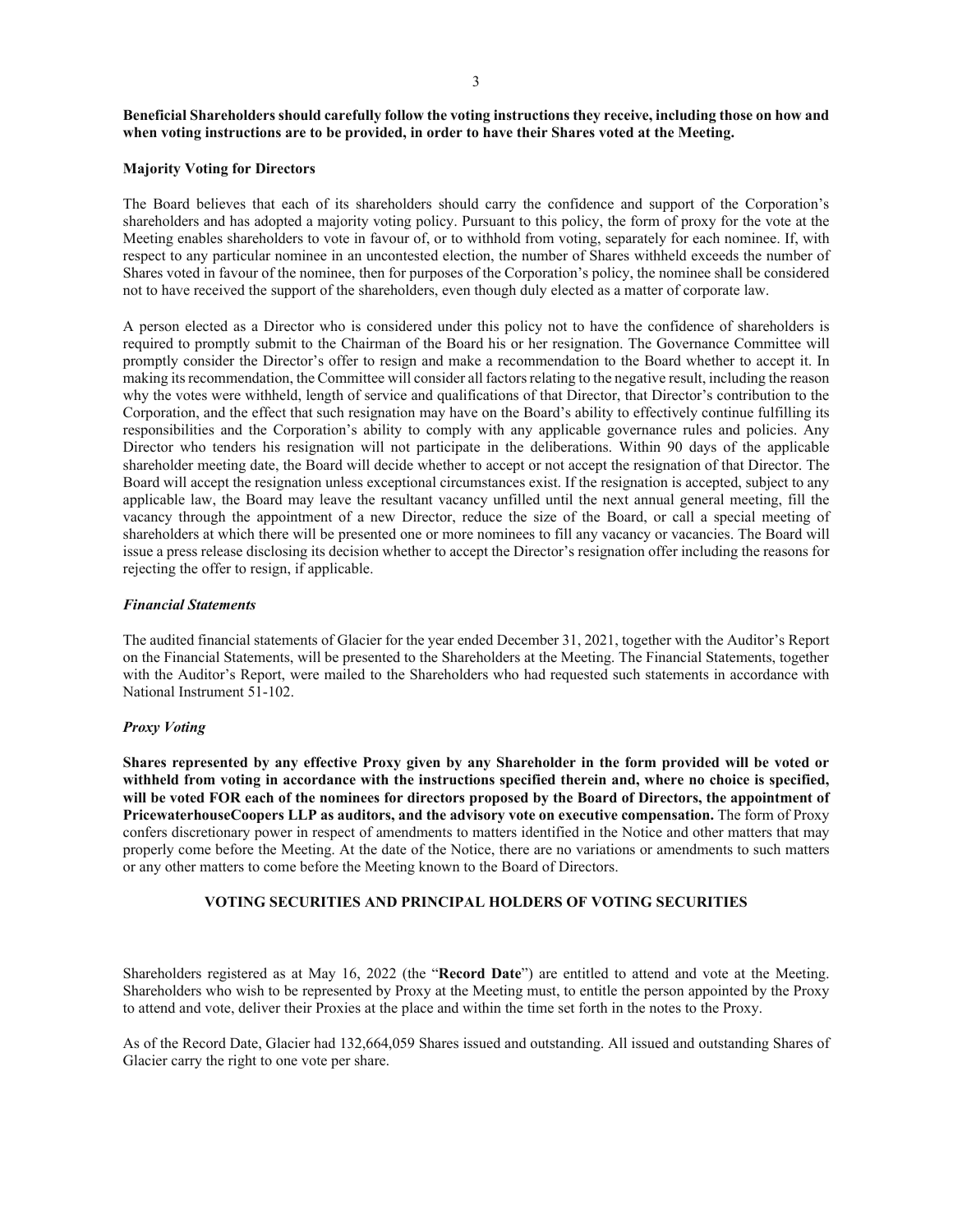## **Beneficial Shareholders should carefully follow the voting instructions they receive, including those on how and when voting instructions are to be provided, in order to have their Shares voted at the Meeting.**

#### **Majority Voting for Directors**

The Board believes that each of its shareholders should carry the confidence and support of the Corporation's shareholders and has adopted a majority voting policy. Pursuant to this policy, the form of proxy for the vote at the Meeting enables shareholders to vote in favour of, or to withhold from voting, separately for each nominee. If, with respect to any particular nominee in an uncontested election, the number of Shares withheld exceeds the number of Shares voted in favour of the nominee, then for purposes of the Corporation's policy, the nominee shall be considered not to have received the support of the shareholders, even though duly elected as a matter of corporate law.

A person elected as a Director who is considered under this policy not to have the confidence of shareholders is required to promptly submit to the Chairman of the Board his or her resignation. The Governance Committee will promptly consider the Director's offer to resign and make a recommendation to the Board whether to accept it. In making its recommendation, the Committee will consider all factors relating to the negative result, including the reason why the votes were withheld, length of service and qualifications of that Director, that Director's contribution to the Corporation, and the effect that such resignation may have on the Board's ability to effectively continue fulfilling its responsibilities and the Corporation's ability to comply with any applicable governance rules and policies. Any Director who tenders his resignation will not participate in the deliberations. Within 90 days of the applicable shareholder meeting date, the Board will decide whether to accept or not accept the resignation of that Director. The Board will accept the resignation unless exceptional circumstances exist. If the resignation is accepted, subject to any applicable law, the Board may leave the resultant vacancy unfilled until the next annual general meeting, fill the vacancy through the appointment of a new Director, reduce the size of the Board, or call a special meeting of shareholders at which there will be presented one or more nominees to fill any vacancy or vacancies. The Board will issue a press release disclosing its decision whether to accept the Director's resignation offer including the reasons for rejecting the offer to resign, if applicable.

### *Financial Statements*

The audited financial statements of Glacier for the year ended December 31, 2021, together with the Auditor's Report on the Financial Statements, will be presented to the Shareholders at the Meeting. The Financial Statements, together with the Auditor's Report, were mailed to the Shareholders who had requested such statements in accordance with National Instrument 51-102.

## *Proxy Voting*

**Shares represented by any effective Proxy given by any Shareholder in the form provided will be voted or withheld from voting in accordance with the instructions specified therein and, where no choice is specified, will be voted FOR each of the nominees for directors proposed by the Board of Directors, the appointment of PricewaterhouseCoopers LLP as auditors, and the advisory vote on executive compensation.** The form of Proxy confers discretionary power in respect of amendments to matters identified in the Notice and other matters that may properly come before the Meeting. At the date of the Notice, there are no variations or amendments to such matters or any other matters to come before the Meeting known to the Board of Directors.

## **VOTING SECURITIES AND PRINCIPAL HOLDERS OF VOTING SECURITIES**

Shareholders registered as at May 16, 2022 (the "**Record Date**") are entitled to attend and vote at the Meeting. Shareholders who wish to be represented by Proxy at the Meeting must, to entitle the person appointed by the Proxy to attend and vote, deliver their Proxies at the place and within the time set forth in the notes to the Proxy.

As of the Record Date, Glacier had 132,664,059 Shares issued and outstanding. All issued and outstanding Shares of Glacier carry the right to one vote per share.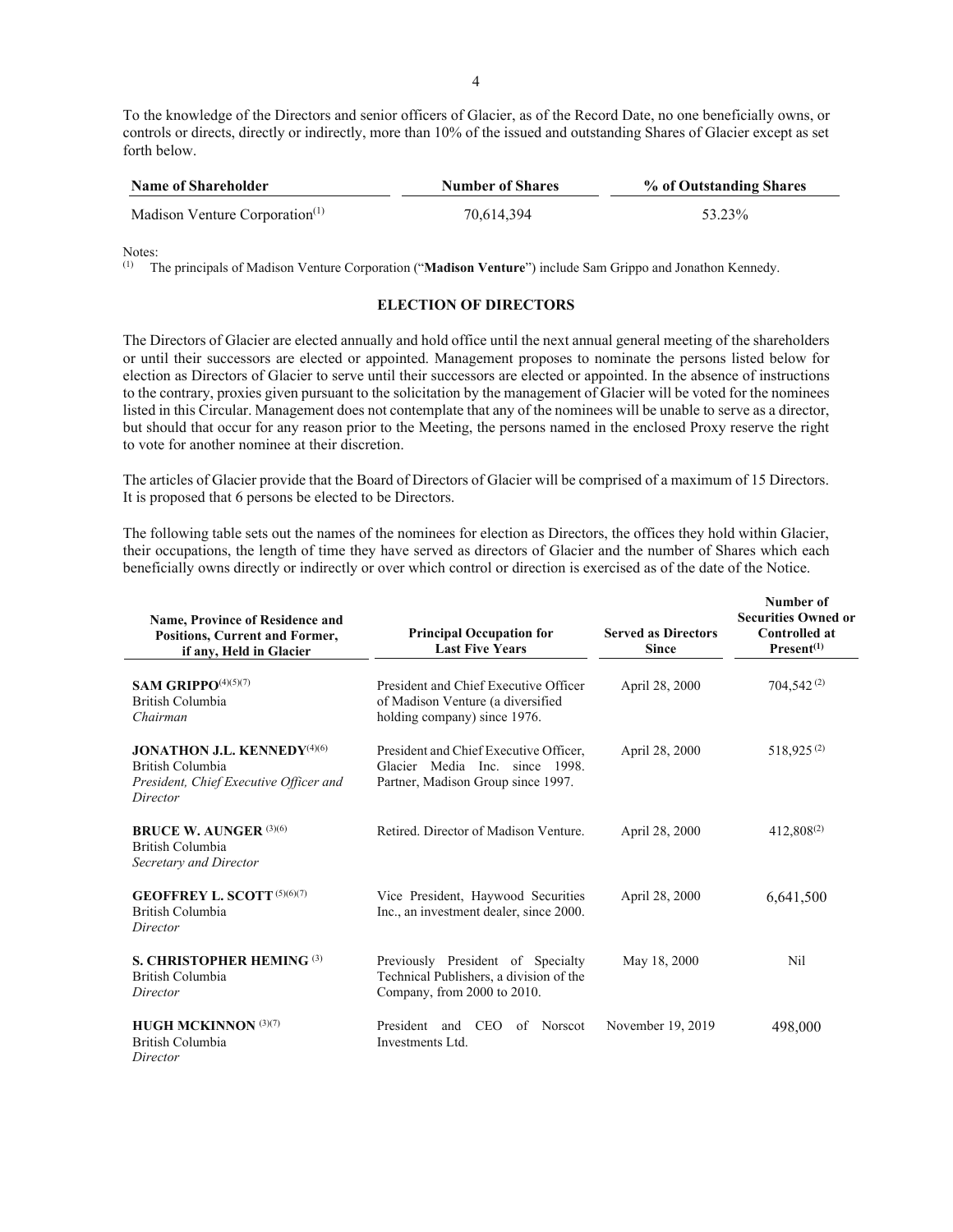To the knowledge of the Directors and senior officers of Glacier, as of the Record Date, no one beneficially owns, or controls or directs, directly or indirectly, more than 10% of the issued and outstanding Shares of Glacier except as set forth below.

| <b>Name of Shareholder</b>                 | <b>Number of Shares</b> | % of Outstanding Shares |  |
|--------------------------------------------|-------------------------|-------------------------|--|
| Madison Venture Corporation <sup>(1)</sup> | 70.614.394              | 53.23%                  |  |

Notes:

(1) The principals of Madison Venture Corporation ("**Madison Venture**") include Sam Grippo and Jonathon Kennedy.

#### **ELECTION OF DIRECTORS**

The Directors of Glacier are elected annually and hold office until the next annual general meeting of the shareholders or until their successors are elected or appointed. Management proposes to nominate the persons listed below for election as Directors of Glacier to serve until their successors are elected or appointed. In the absence of instructions to the contrary, proxies given pursuant to the solicitation by the management of Glacier will be voted for the nominees listed in this Circular. Management does not contemplate that any of the nominees will be unable to serve as a director, but should that occur for any reason prior to the Meeting, the persons named in the enclosed Proxy reserve the right to vote for another nominee at their discretion.

The articles of Glacier provide that the Board of Directors of Glacier will be comprised of a maximum of 15 Directors. It is proposed that 6 persons be elected to be Directors.

The following table sets out the names of the nominees for election as Directors, the offices they hold within Glacier, their occupations, the length of time they have served as directors of Glacier and the number of Shares which each beneficially owns directly or indirectly or over which control or direction is exercised as of the date of the Notice.

| <b>Name, Province of Residence and</b><br><b>Positions, Current and Former,</b><br>if any, Held in Glacier               | <b>Principal Occupation for</b><br><b>Last Five Years</b>                                                      | <b>Served as Directors</b><br><b>Since</b> | Number of<br><b>Securities Owned or</b><br><b>Controlled at</b><br>Present <sup>(1)</sup> |
|--------------------------------------------------------------------------------------------------------------------------|----------------------------------------------------------------------------------------------------------------|--------------------------------------------|-------------------------------------------------------------------------------------------|
| SAM GRIPPO $(4)(5)(7)$<br>British Columbia<br>Chairman                                                                   | President and Chief Executive Officer<br>of Madison Venture (a diversified<br>holding company) since 1976.     | April 28, 2000                             | 704,542 <sup>(2)</sup>                                                                    |
| <b>JONATHON J.L. KENNEDY</b> <sup>(4)(6)</sup><br>British Columbia<br>President, Chief Executive Officer and<br>Director | President and Chief Executive Officer,<br>Glacier Media Inc. since 1998.<br>Partner, Madison Group since 1997. | April 28, 2000                             | 518,925 <sup>(2)</sup>                                                                    |
| <b>BRUCE W. AUNGER (3)(6)</b><br>British Columbia<br>Secretary and Director                                              | Retired. Director of Madison Venture.                                                                          | April 28, 2000                             | $412,808^{(2)}$                                                                           |
| <b>GEOFFREY L. SCOTT</b> (5)(6)(7)<br>British Columbia<br>Director                                                       | Vice President, Haywood Securities<br>Inc., an investment dealer, since 2000.                                  | April 28, 2000                             | 6,641,500                                                                                 |
| S. CHRISTOPHER HEMING $(3)$<br>British Columbia<br>Director                                                              | Previously President of Specialty<br>Technical Publishers, a division of the<br>Company, from 2000 to 2010.    | May 18, 2000                               | Nil                                                                                       |
| <b>HUGH MCKINNON</b> $(3)(7)$<br>British Columbia<br>Director                                                            | President and CEO<br>of Norscot<br>Investments Ltd.                                                            | November 19, 2019                          | 498,000                                                                                   |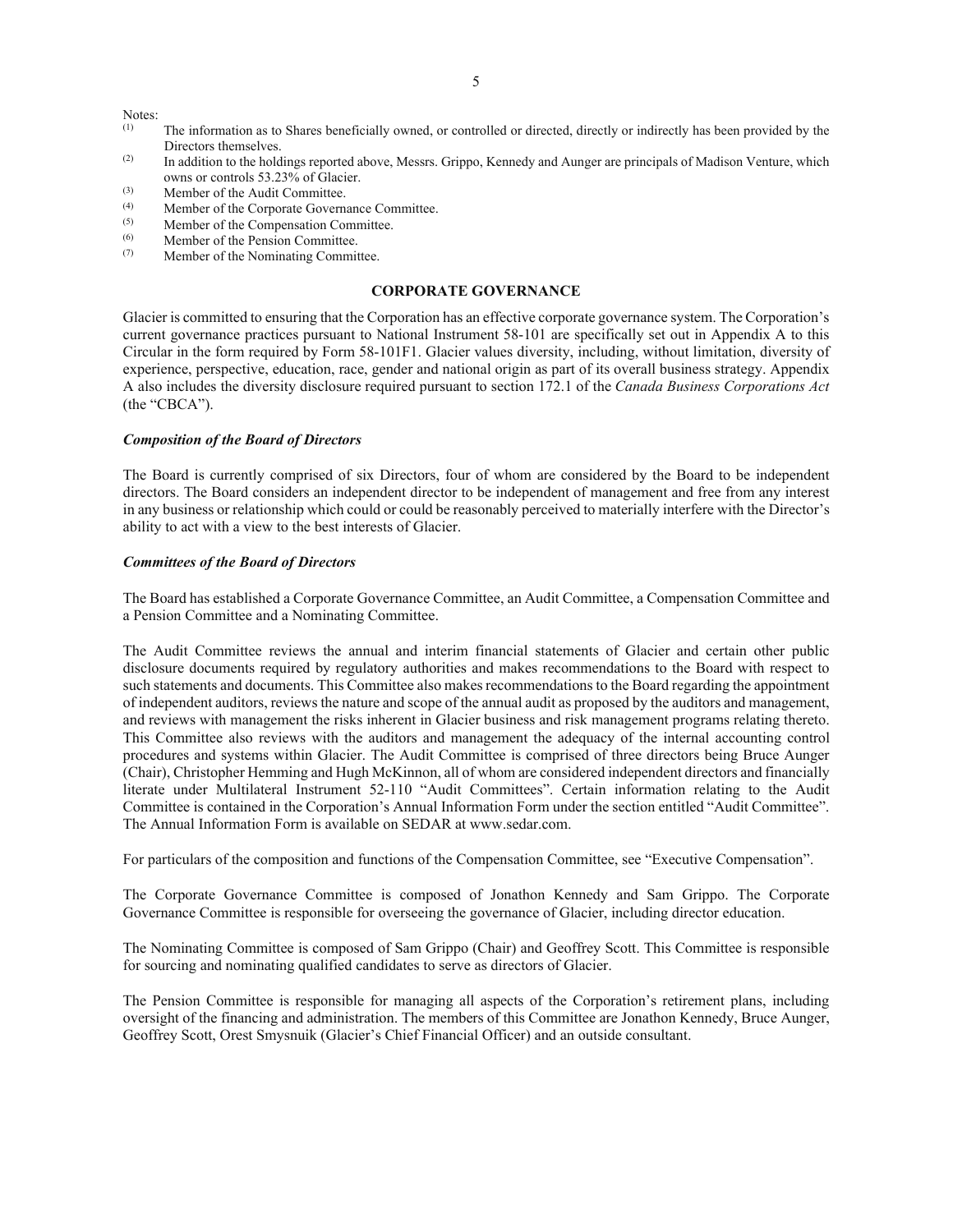Notes:<br> $\frac{(1)}{(1)}$ 

- The information as to Shares beneficially owned, or controlled or directed, directly or indirectly has been provided by the Directors themselves.
- <sup>(2)</sup> In addition to the holdings reported above, Messrs. Grippo, Kennedy and Aunger are principals of Madison Venture, which owns or controls 53.23% of Glacier.
- (3) Member of the Audit Committee.<br>
Member of the Corporate Govern
- (4) Member of the Corporate Governance Committee.<br>
Member of the Compensation Committee.
- $^{(5)}$  Member of the Compensation Committee.<br>
Member of the Pension Committee.
- <sup>(6)</sup> Member of the Pension Committee.<br> *(7)* Member of the Nominating Commit
- Member of the Nominating Committee.

### **CORPORATE GOVERNANCE**

Glacier is committed to ensuring that the Corporation has an effective corporate governance system. The Corporation's current governance practices pursuant to National Instrument 58-101 are specifically set out in Appendix A to this Circular in the form required by Form 58-101F1. Glacier values diversity, including, without limitation, diversity of experience, perspective, education, race, gender and national origin as part of its overall business strategy. Appendix A also includes the diversity disclosure required pursuant to section 172.1 of the *Canada Business Corporations Act*  (the "CBCA").

### *Composition of the Board of Directors*

The Board is currently comprised of six Directors, four of whom are considered by the Board to be independent directors. The Board considers an independent director to be independent of management and free from any interest in any business or relationship which could or could be reasonably perceived to materially interfere with the Director's ability to act with a view to the best interests of Glacier.

#### *Committees of the Board of Directors*

The Board has established a Corporate Governance Committee, an Audit Committee, a Compensation Committee and a Pension Committee and a Nominating Committee.

The Audit Committee reviews the annual and interim financial statements of Glacier and certain other public disclosure documents required by regulatory authorities and makes recommendations to the Board with respect to such statements and documents. This Committee also makes recommendations to the Board regarding the appointment of independent auditors, reviews the nature and scope of the annual audit as proposed by the auditors and management, and reviews with management the risks inherent in Glacier business and risk management programs relating thereto. This Committee also reviews with the auditors and management the adequacy of the internal accounting control procedures and systems within Glacier. The Audit Committee is comprised of three directors being Bruce Aunger (Chair), Christopher Hemming and Hugh McKinnon, all of whom are considered independent directors and financially literate under Multilateral Instrument 52-110 "Audit Committees". Certain information relating to the Audit Committee is contained in the Corporation's Annual Information Form under the section entitled "Audit Committee". The Annual Information Form is available on SEDAR at www.sedar.com.

For particulars of the composition and functions of the Compensation Committee, see "Executive Compensation".

The Corporate Governance Committee is composed of Jonathon Kennedy and Sam Grippo. The Corporate Governance Committee is responsible for overseeing the governance of Glacier, including director education.

The Nominating Committee is composed of Sam Grippo (Chair) and Geoffrey Scott. This Committee is responsible for sourcing and nominating qualified candidates to serve as directors of Glacier.

The Pension Committee is responsible for managing all aspects of the Corporation's retirement plans, including oversight of the financing and administration. The members of this Committee are Jonathon Kennedy, Bruce Aunger, Geoffrey Scott, Orest Smysnuik (Glacier's Chief Financial Officer) and an outside consultant.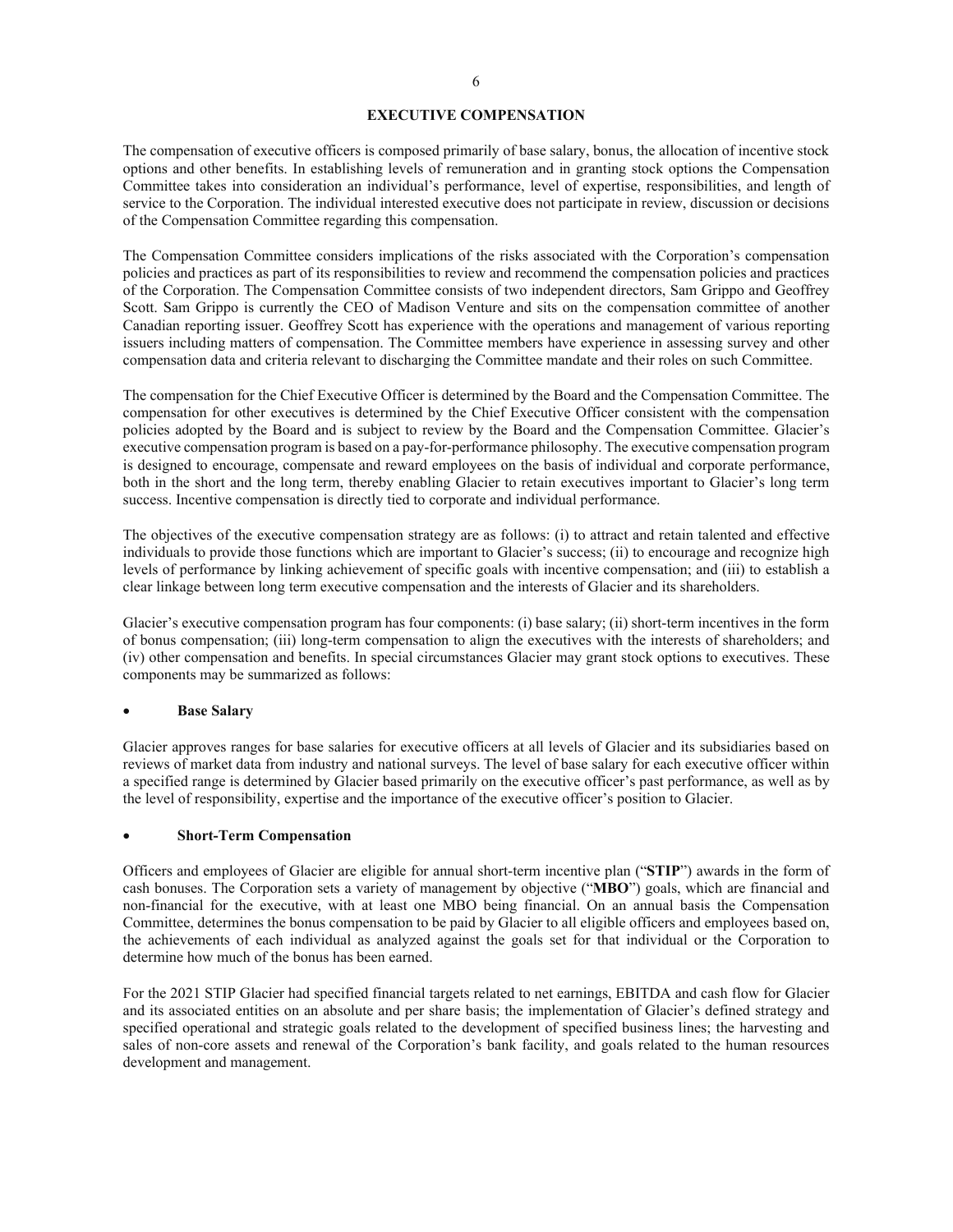### **EXECUTIVE COMPENSATION**

The compensation of executive officers is composed primarily of base salary, bonus, the allocation of incentive stock options and other benefits. In establishing levels of remuneration and in granting stock options the Compensation Committee takes into consideration an individual's performance, level of expertise, responsibilities, and length of service to the Corporation. The individual interested executive does not participate in review, discussion or decisions of the Compensation Committee regarding this compensation.

The Compensation Committee considers implications of the risks associated with the Corporation's compensation policies and practices as part of its responsibilities to review and recommend the compensation policies and practices of the Corporation. The Compensation Committee consists of two independent directors, Sam Grippo and Geoffrey Scott. Sam Grippo is currently the CEO of Madison Venture and sits on the compensation committee of another Canadian reporting issuer. Geoffrey Scott has experience with the operations and management of various reporting issuers including matters of compensation. The Committee members have experience in assessing survey and other compensation data and criteria relevant to discharging the Committee mandate and their roles on such Committee.

The compensation for the Chief Executive Officer is determined by the Board and the Compensation Committee. The compensation for other executives is determined by the Chief Executive Officer consistent with the compensation policies adopted by the Board and is subject to review by the Board and the Compensation Committee. Glacier's executive compensation program is based on a pay-for-performance philosophy. The executive compensation program is designed to encourage, compensate and reward employees on the basis of individual and corporate performance, both in the short and the long term, thereby enabling Glacier to retain executives important to Glacier's long term success. Incentive compensation is directly tied to corporate and individual performance.

The objectives of the executive compensation strategy are as follows: (i) to attract and retain talented and effective individuals to provide those functions which are important to Glacier's success; (ii) to encourage and recognize high levels of performance by linking achievement of specific goals with incentive compensation; and (iii) to establish a clear linkage between long term executive compensation and the interests of Glacier and its shareholders.

Glacier's executive compensation program has four components: (i) base salary; (ii) short-term incentives in the form of bonus compensation; (iii) long-term compensation to align the executives with the interests of shareholders; and (iv) other compensation and benefits. In special circumstances Glacier may grant stock options to executives. These components may be summarized as follows:

#### **Base Salary**

Glacier approves ranges for base salaries for executive officers at all levels of Glacier and its subsidiaries based on reviews of market data from industry and national surveys. The level of base salary for each executive officer within a specified range is determined by Glacier based primarily on the executive officer's past performance, as well as by the level of responsibility, expertise and the importance of the executive officer's position to Glacier.

#### x **Short-Term Compensation**

Officers and employees of Glacier are eligible for annual short-term incentive plan ("**STIP**") awards in the form of cash bonuses. The Corporation sets a variety of management by objective ("**MBO**") goals, which are financial and non-financial for the executive, with at least one MBO being financial. On an annual basis the Compensation Committee, determines the bonus compensation to be paid by Glacier to all eligible officers and employees based on, the achievements of each individual as analyzed against the goals set for that individual or the Corporation to determine how much of the bonus has been earned.

For the 2021 STIP Glacier had specified financial targets related to net earnings, EBITDA and cash flow for Glacier and its associated entities on an absolute and per share basis; the implementation of Glacier's defined strategy and specified operational and strategic goals related to the development of specified business lines; the harvesting and sales of non-core assets and renewal of the Corporation's bank facility, and goals related to the human resources development and management.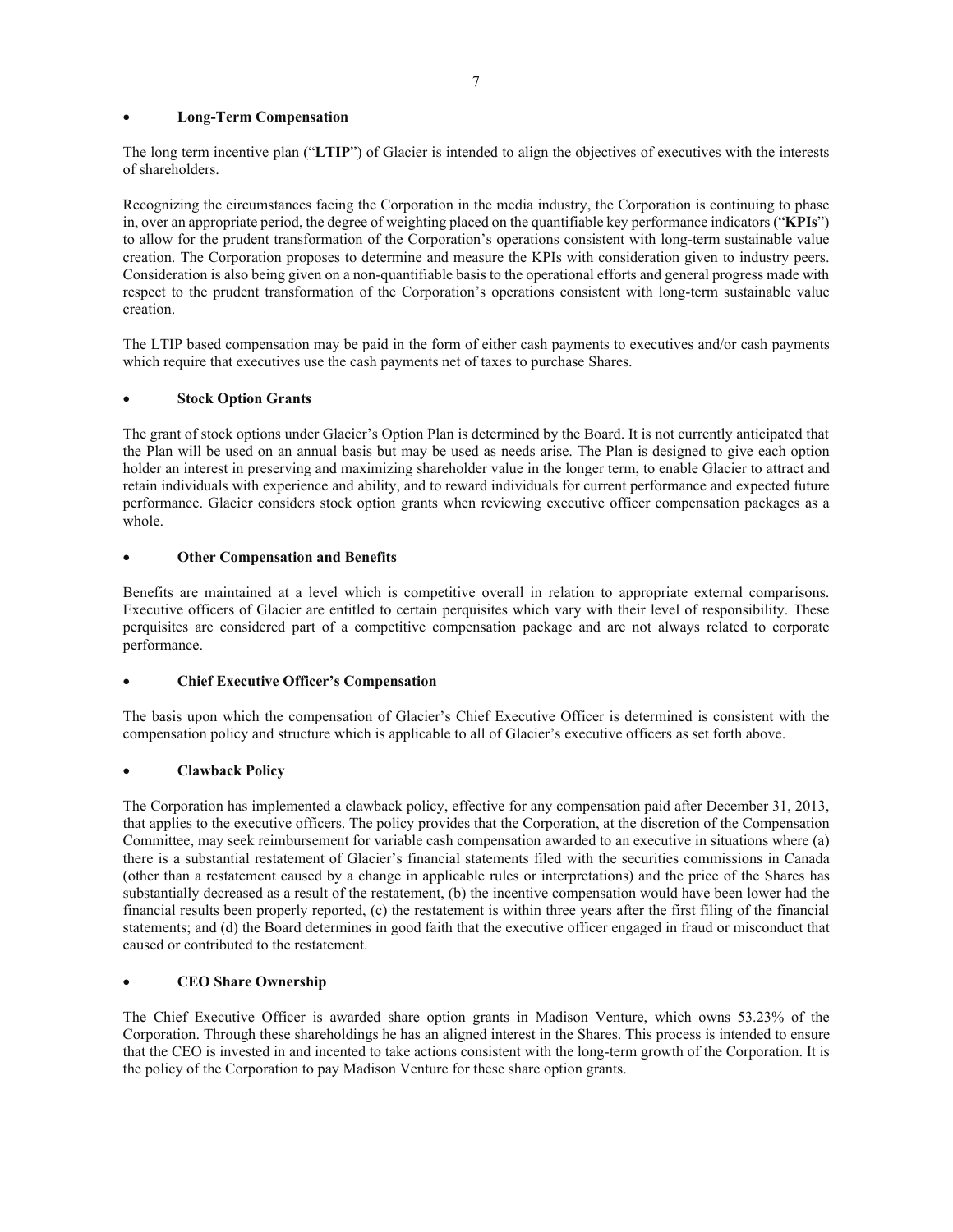## **Long-Term Compensation**

The long term incentive plan ("**LTIP**") of Glacier is intended to align the objectives of executives with the interests of shareholders.

Recognizing the circumstances facing the Corporation in the media industry, the Corporation is continuing to phase in, over an appropriate period, the degree of weighting placed on the quantifiable key performance indicators ("**KPIs**") to allow for the prudent transformation of the Corporation's operations consistent with long-term sustainable value creation. The Corporation proposes to determine and measure the KPIs with consideration given to industry peers. Consideration is also being given on a non-quantifiable basis to the operational efforts and general progress made with respect to the prudent transformation of the Corporation's operations consistent with long-term sustainable value creation.

The LTIP based compensation may be paid in the form of either cash payments to executives and/or cash payments which require that executives use the cash payments net of taxes to purchase Shares.

## **Stock Option Grants**

The grant of stock options under Glacier's Option Plan is determined by the Board. It is not currently anticipated that the Plan will be used on an annual basis but may be used as needs arise. The Plan is designed to give each option holder an interest in preserving and maximizing shareholder value in the longer term, to enable Glacier to attract and retain individuals with experience and ability, and to reward individuals for current performance and expected future performance. Glacier considers stock option grants when reviewing executive officer compensation packages as a whole.

## **Other Compensation and Benefits**

Benefits are maintained at a level which is competitive overall in relation to appropriate external comparisons. Executive officers of Glacier are entitled to certain perquisites which vary with their level of responsibility. These perquisites are considered part of a competitive compensation package and are not always related to corporate performance.

## x **Chief Executive Officer's Compensation**

The basis upon which the compensation of Glacier's Chief Executive Officer is determined is consistent with the compensation policy and structure which is applicable to all of Glacier's executive officers as set forth above.

## **Clawback Policy**

The Corporation has implemented a clawback policy, effective for any compensation paid after December 31, 2013, that applies to the executive officers. The policy provides that the Corporation, at the discretion of the Compensation Committee, may seek reimbursement for variable cash compensation awarded to an executive in situations where (a) there is a substantial restatement of Glacier's financial statements filed with the securities commissions in Canada (other than a restatement caused by a change in applicable rules or interpretations) and the price of the Shares has substantially decreased as a result of the restatement, (b) the incentive compensation would have been lower had the financial results been properly reported, (c) the restatement is within three years after the first filing of the financial statements; and (d) the Board determines in good faith that the executive officer engaged in fraud or misconduct that caused or contributed to the restatement.

## x **CEO Share Ownership**

The Chief Executive Officer is awarded share option grants in Madison Venture, which owns 53.23% of the Corporation. Through these shareholdings he has an aligned interest in the Shares. This process is intended to ensure that the CEO is invested in and incented to take actions consistent with the long-term growth of the Corporation. It is the policy of the Corporation to pay Madison Venture for these share option grants.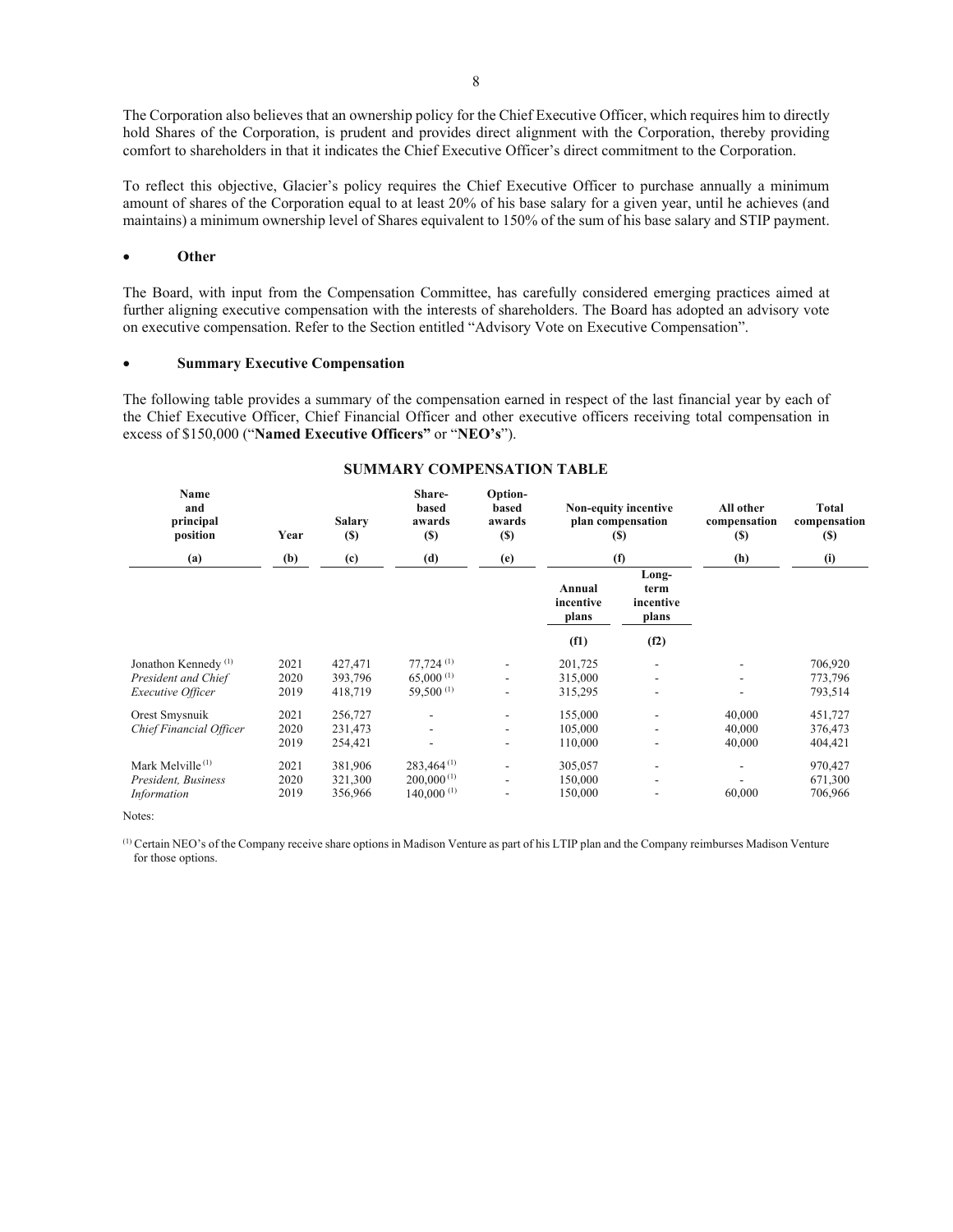The Corporation also believes that an ownership policy for the Chief Executive Officer, which requires him to directly hold Shares of the Corporation, is prudent and provides direct alignment with the Corporation, thereby providing comfort to shareholders in that it indicates the Chief Executive Officer's direct commitment to the Corporation.

To reflect this objective, Glacier's policy requires the Chief Executive Officer to purchase annually a minimum amount of shares of the Corporation equal to at least 20% of his base salary for a given year, until he achieves (and maintains) a minimum ownership level of Shares equivalent to 150% of the sum of his base salary and STIP payment.

#### x **Other**

The Board, with input from the Compensation Committee, has carefully considered emerging practices aimed at further aligning executive compensation with the interests of shareholders. The Board has adopted an advisory vote on executive compensation. Refer to the Section entitled "Advisory Vote on Executive Compensation".

#### x **Summary Executive Compensation**

The following table provides a summary of the compensation earned in respect of the last financial year by each of the Chief Executive Officer, Chief Financial Officer and other executive officers receiving total compensation in excess of \$150,000 ("**Named Executive Officers"** or "**NEO's**").

| <b>Name</b><br>and<br>principal<br>position                                 | Year                 | <b>Salary</b><br><b>(S)</b>   | Share-<br>based<br>awards<br>(S)                                   | Option-<br>based<br>awards<br>(S)                                                    |                               | Non-equity incentive<br>plan compensation<br>(S)     | All other<br>compensation<br><b>(S)</b> | Total<br>compensation<br><b>(S)</b> |
|-----------------------------------------------------------------------------|----------------------|-------------------------------|--------------------------------------------------------------------|--------------------------------------------------------------------------------------|-------------------------------|------------------------------------------------------|-----------------------------------------|-------------------------------------|
| (a)                                                                         | (b)                  | (c)                           | (d)                                                                | (e)                                                                                  |                               | (f)                                                  | (h)                                     | (i)                                 |
|                                                                             |                      |                               |                                                                    |                                                                                      | Annual<br>incentive<br>plans  | Long-<br>term<br>incentive<br>plans                  |                                         |                                     |
|                                                                             |                      |                               |                                                                    |                                                                                      | (f1)                          | (f2)                                                 |                                         |                                     |
| Jonathon Kennedy <sup>(1)</sup><br>President and Chief<br>Executive Officer | 2021<br>2020<br>2019 | 427,471<br>393,796<br>418,719 | $77,724$ <sup>(1)</sup><br>$65,000^{(1)}$<br>59,500 <sup>(1)</sup> | $\overline{\phantom{a}}$<br>$\overline{\phantom{a}}$<br>$\qquad \qquad \blacksquare$ | 201,725<br>315,000<br>315,295 | $\overline{\phantom{a}}$<br>$\overline{\phantom{a}}$ |                                         | 706,920<br>773,796<br>793,514       |
| Orest Smysnuik<br>Chief Financial Officer                                   | 2021<br>2020<br>2019 | 256,727<br>231,473<br>254,421 |                                                                    | $\overline{\phantom{a}}$<br>$\overline{\phantom{a}}$<br>$\qquad \qquad \blacksquare$ | 155,000<br>105,000<br>110,000 | $\overline{\phantom{a}}$<br>$\blacksquare$<br>٠      | 40,000<br>40,000<br>40,000              | 451,727<br>376,473<br>404,421       |
| Mark Melville <sup>(1)</sup><br>President, Business<br>Information          | 2021<br>2020<br>2019 | 381,906<br>321,300<br>356,966 | $283,464^{(1)}$<br>$200,000^{(1)}$<br>$140,000^{(1)}$              | $\overline{\phantom{a}}$<br>$\overline{\phantom{a}}$<br>٠                            | 305,057<br>150,000<br>150,000 | $\overline{\phantom{0}}$<br>$\blacksquare$           | 60,000                                  | 970,427<br>671,300<br>706,966       |

#### **SUMMARY COMPENSATION TABLE**

Notes:

(1) Certain NEO's of the Company receive share options in Madison Venture as part of his LTIP plan and the Company reimburses Madison Venture for those options.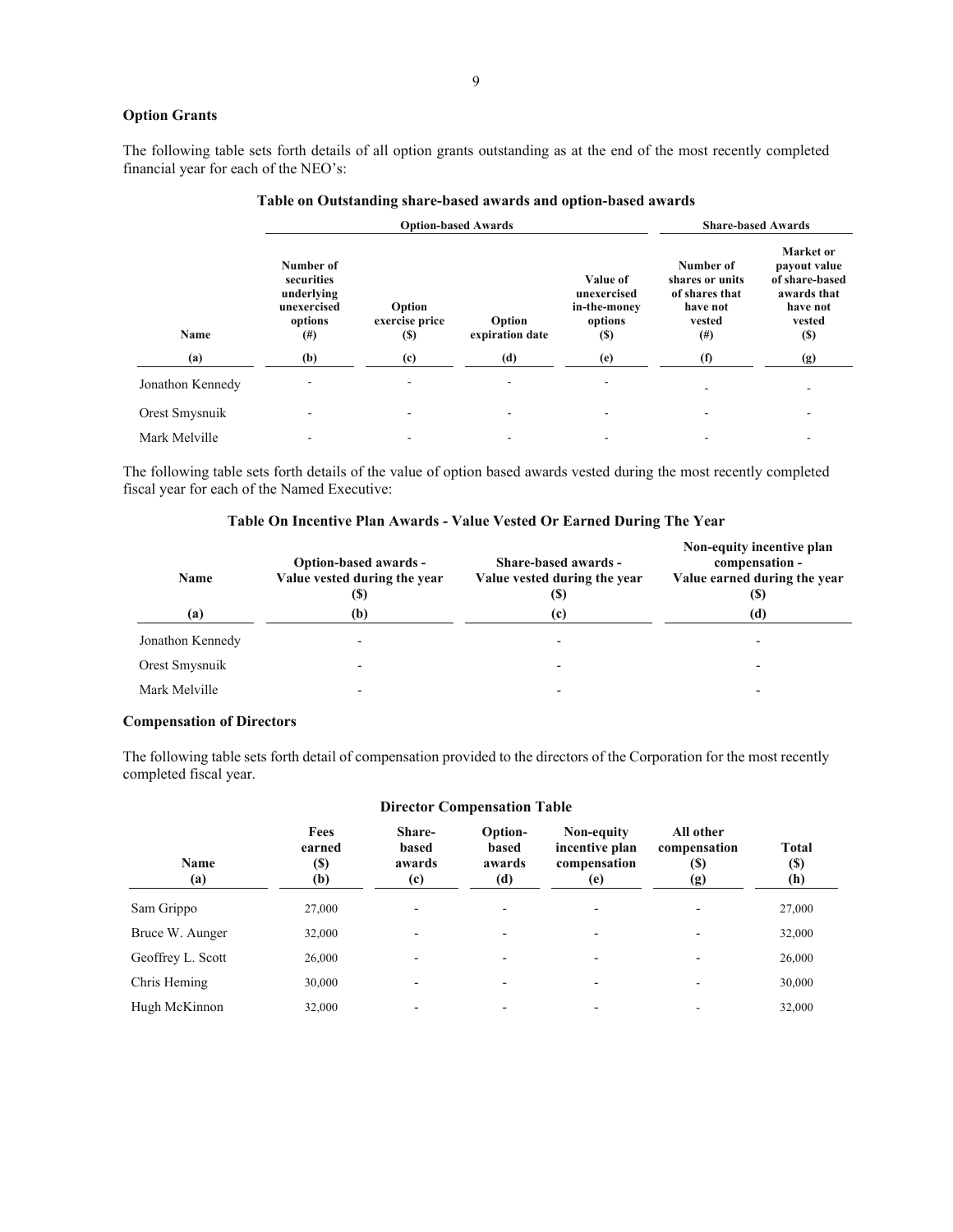## **Option Grants**

The following table sets forth details of all option grants outstanding as at the end of the most recently completed financial year for each of the NEO's:

|                  | <b>Option-based Awards</b>                                                  |                                        |                           |                                                                   | <b>Share-based Awards</b>                                                      |                                                                                                |  |
|------------------|-----------------------------------------------------------------------------|----------------------------------------|---------------------------|-------------------------------------------------------------------|--------------------------------------------------------------------------------|------------------------------------------------------------------------------------------------|--|
| <b>Name</b>      | Number of<br>securities<br>underlying<br>unexercised<br>options<br>$^{(#)}$ | Option<br>exercise price<br><b>(S)</b> | Option<br>expiration date | Value of<br>unexercised<br>in-the-money<br>options<br><b>(\$)</b> | Number of<br>shares or units<br>of shares that<br>have not<br>vested<br>$(\#)$ | Market or<br>payout value<br>of share-based<br>awards that<br>have not<br>vested<br><b>(S)</b> |  |
| (a)              | (b)                                                                         | (c)                                    | (d)                       | (e)                                                               | (f)                                                                            | (g)                                                                                            |  |
| Jonathon Kennedy |                                                                             |                                        |                           |                                                                   |                                                                                |                                                                                                |  |
| Orest Smysnuik   |                                                                             |                                        |                           |                                                                   |                                                                                |                                                                                                |  |
| Mark Melville    |                                                                             |                                        |                           |                                                                   |                                                                                |                                                                                                |  |

### **Table on Outstanding share-based awards and option-based awards**

The following table sets forth details of the value of option based awards vested during the most recently completed fiscal year for each of the Named Executive:

## **Table On Incentive Plan Awards - Value Vested Or Earned During The Year**

| <b>Name</b>      | Option-based awards -<br>Value vested during the year<br>(S) | Share-based awards -<br>Value vested during the year<br><b>(S)</b> | Non-equity incentive plan<br>compensation -<br>Value earned during the year<br>(S) |
|------------------|--------------------------------------------------------------|--------------------------------------------------------------------|------------------------------------------------------------------------------------|
| (a)              | (b)                                                          | (c)                                                                | (d)                                                                                |
| Jonathon Kennedy | $\overline{\phantom{0}}$                                     | $\overline{\phantom{0}}$                                           |                                                                                    |
| Orest Smysnuik   |                                                              |                                                                    |                                                                                    |
| Mark Melville    | $\overline{\phantom{0}}$                                     |                                                                    |                                                                                    |

## **Compensation of Directors**

The following table sets forth detail of compensation provided to the directors of the Corporation for the most recently completed fiscal year.

| <b>Name</b><br>(a) | Fees<br>earned<br>(\$)<br>(b) | Share-<br>based<br>awards<br>(c) | Option-<br>based<br>awards<br>(d) | Non-equity<br>incentive plan<br>compensation<br>(e) | All other<br>compensation<br><b>(S)</b><br>(g) | <b>Total</b><br>$(\$)$<br>(h) |  |
|--------------------|-------------------------------|----------------------------------|-----------------------------------|-----------------------------------------------------|------------------------------------------------|-------------------------------|--|
| Sam Grippo         | 27,000                        |                                  | $\overline{\phantom{0}}$          |                                                     | $\overline{\phantom{0}}$                       | 27,000                        |  |
| Bruce W. Aunger    | 32,000                        | $\overline{\phantom{a}}$         | $\overline{\phantom{0}}$          | $\overline{\phantom{0}}$                            | $\overline{\phantom{0}}$                       | 32,000                        |  |
| Geoffrey L. Scott  | 26,000                        |                                  |                                   |                                                     |                                                | 26,000                        |  |
| Chris Heming       | 30,000                        |                                  | $\overline{\phantom{0}}$          |                                                     | $\overline{\phantom{a}}$                       | 30,000                        |  |
| Hugh McKinnon      | 32,000                        |                                  | $\overline{\phantom{0}}$          |                                                     |                                                | 32,000                        |  |
|                    |                               |                                  |                                   |                                                     |                                                |                               |  |

#### **Director Compensation Table**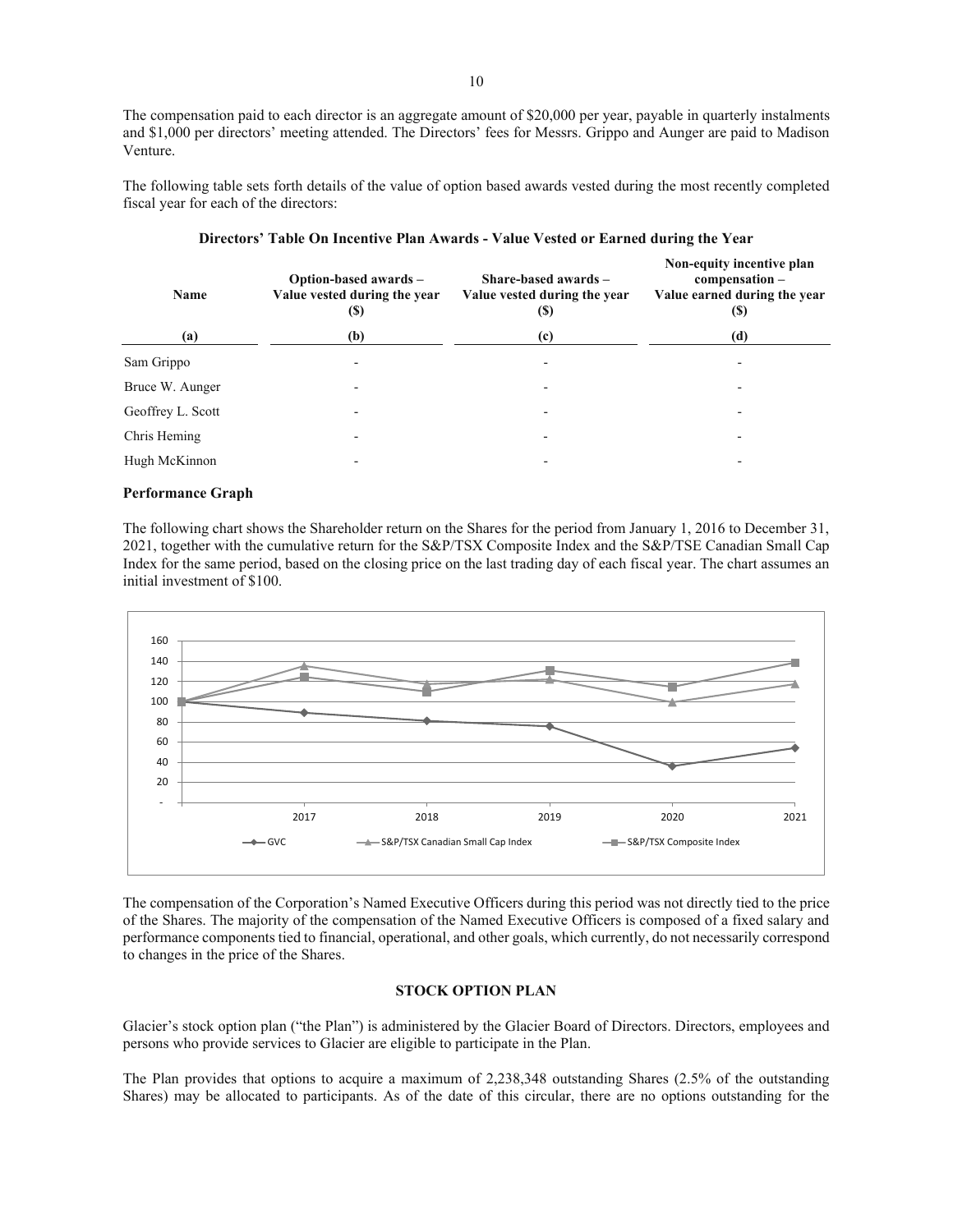The compensation paid to each director is an aggregate amount of \$20,000 per year, payable in quarterly instalments and \$1,000 per directors' meeting attended. The Directors' fees for Messrs. Grippo and Aunger are paid to Madison Venture.

The following table sets forth details of the value of option based awards vested during the most recently completed fiscal year for each of the directors:

| <b>Name</b>       | Option-based awards -<br>Value vested during the year<br>$\left( \mathbb{S}\right)$ | Share-based awards $-$<br>Value vested during the year<br>(S) | Non-equity incentive plan<br>compensation-<br>Value earned during the year<br>(5) |
|-------------------|-------------------------------------------------------------------------------------|---------------------------------------------------------------|-----------------------------------------------------------------------------------|
| (a)               | (b)                                                                                 | (c)                                                           | (d)                                                                               |
| Sam Grippo        |                                                                                     |                                                               |                                                                                   |
| Bruce W. Aunger   | ٠                                                                                   | ٠                                                             |                                                                                   |
| Geoffrey L. Scott |                                                                                     |                                                               |                                                                                   |
| Chris Heming      |                                                                                     |                                                               |                                                                                   |
| Hugh McKinnon     |                                                                                     |                                                               |                                                                                   |

### **Directors' Table On Incentive Plan Awards - Value Vested or Earned during the Year**

## **Performance Graph**

The following chart shows the Shareholder return on the Shares for the period from January 1, 2016 to December 31, 2021, together with the cumulative return for the S&P/TSX Composite Index and the S&P/TSE Canadian Small Cap Index for the same period, based on the closing price on the last trading day of each fiscal year. The chart assumes an initial investment of \$100.



The compensation of the Corporation's Named Executive Officers during this period was not directly tied to the price of the Shares. The majority of the compensation of the Named Executive Officers is composed of a fixed salary and performance components tied to financial, operational, and other goals, which currently, do not necessarily correspond to changes in the price of the Shares.

#### **STOCK OPTION PLAN**

Glacier's stock option plan ("the Plan") is administered by the Glacier Board of Directors. Directors, employees and persons who provide services to Glacier are eligible to participate in the Plan.

The Plan provides that options to acquire a maximum of 2,238,348 outstanding Shares (2.5% of the outstanding Shares) may be allocated to participants. As of the date of this circular, there are no options outstanding for the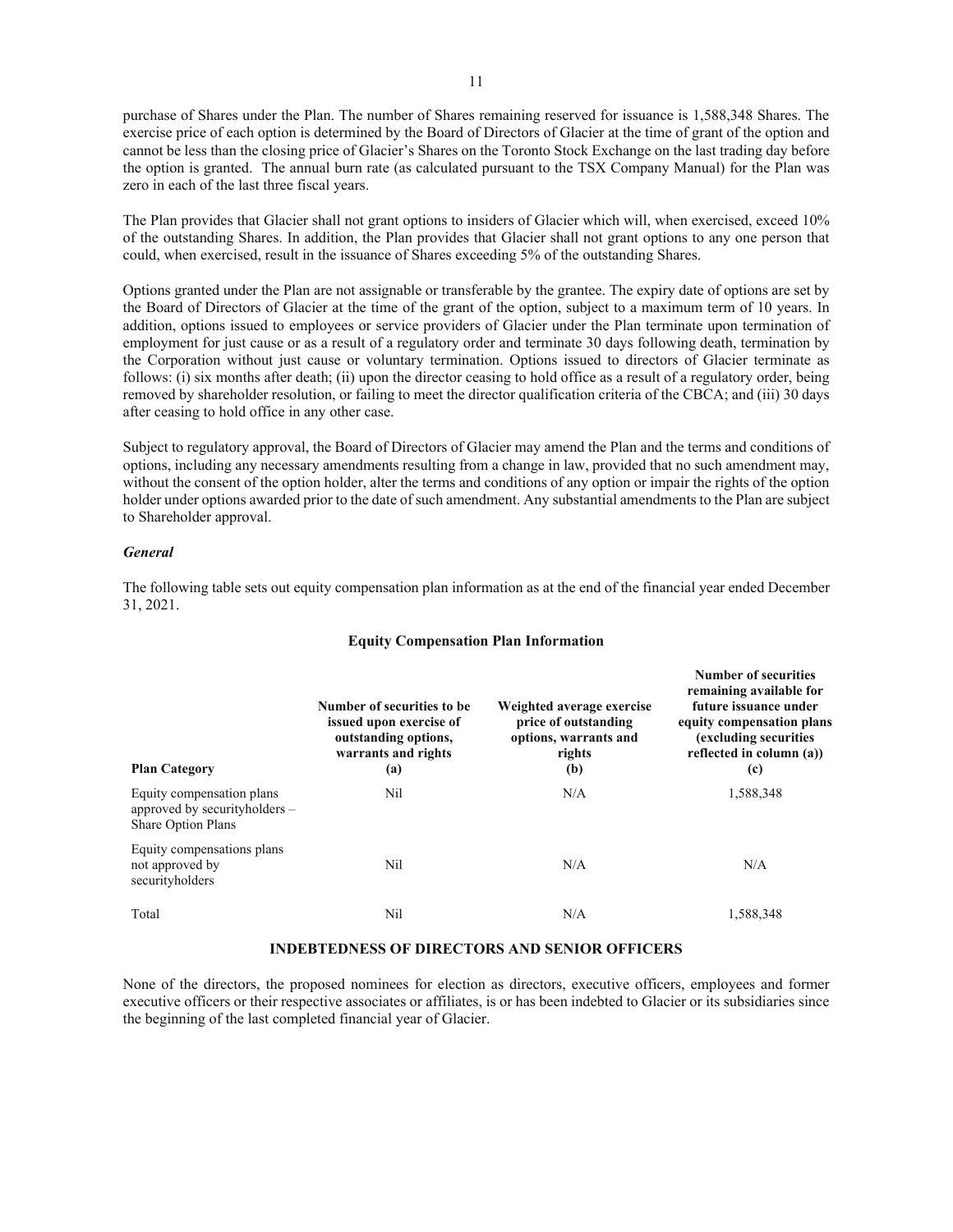purchase of Shares under the Plan. The number of Shares remaining reserved for issuance is 1,588,348 Shares. The exercise price of each option is determined by the Board of Directors of Glacier at the time of grant of the option and cannot be less than the closing price of Glacier's Shares on the Toronto Stock Exchange on the last trading day before the option is granted. The annual burn rate (as calculated pursuant to the TSX Company Manual) for the Plan was zero in each of the last three fiscal years.

The Plan provides that Glacier shall not grant options to insiders of Glacier which will, when exercised, exceed 10% of the outstanding Shares. In addition, the Plan provides that Glacier shall not grant options to any one person that could, when exercised, result in the issuance of Shares exceeding 5% of the outstanding Shares.

Options granted under the Plan are not assignable or transferable by the grantee. The expiry date of options are set by the Board of Directors of Glacier at the time of the grant of the option, subject to a maximum term of 10 years. In addition, options issued to employees or service providers of Glacier under the Plan terminate upon termination of employment for just cause or as a result of a regulatory order and terminate 30 days following death, termination by the Corporation without just cause or voluntary termination. Options issued to directors of Glacier terminate as follows: (i) six months after death; (ii) upon the director ceasing to hold office as a result of a regulatory order, being removed by shareholder resolution, or failing to meet the director qualification criteria of the CBCA; and (iii) 30 days after ceasing to hold office in any other case.

Subject to regulatory approval, the Board of Directors of Glacier may amend the Plan and the terms and conditions of options, including any necessary amendments resulting from a change in law, provided that no such amendment may, without the consent of the option holder, alter the terms and conditions of any option or impair the rights of the option holder under options awarded prior to the date of such amendment. Any substantial amendments to the Plan are subject to Shareholder approval.

#### *General*

The following table sets out equity compensation plan information as at the end of the financial year ended December 31, 2021.

#### **Equity Compensation Plan Information**

| <b>Plan Category</b>                                                                       | Number of securities to be.<br>issued upon exercise of<br>outstanding options,<br>warrants and rights<br>(a) | Weighted average exercise<br>price of outstanding<br>options, warrants and<br>rights<br>(b) | <b>Number of securities</b><br>remaining available for<br>future issuance under<br>equity compensation plans<br>(excluding securities)<br>reflected in column (a))<br>(c) |
|--------------------------------------------------------------------------------------------|--------------------------------------------------------------------------------------------------------------|---------------------------------------------------------------------------------------------|---------------------------------------------------------------------------------------------------------------------------------------------------------------------------|
| Equity compensation plans<br>approved by security holders $-$<br><b>Share Option Plans</b> | Nil                                                                                                          | N/A                                                                                         | 1,588,348                                                                                                                                                                 |
| Equity compensations plans<br>not approved by<br>securityholders                           | Nil                                                                                                          | N/A                                                                                         | N/A                                                                                                                                                                       |
| Total                                                                                      | Nil                                                                                                          | N/A                                                                                         | 1,588,348                                                                                                                                                                 |

## **INDEBTEDNESS OF DIRECTORS AND SENIOR OFFICERS**

None of the directors, the proposed nominees for election as directors, executive officers, employees and former executive officers or their respective associates or affiliates, is or has been indebted to Glacier or its subsidiaries since the beginning of the last completed financial year of Glacier.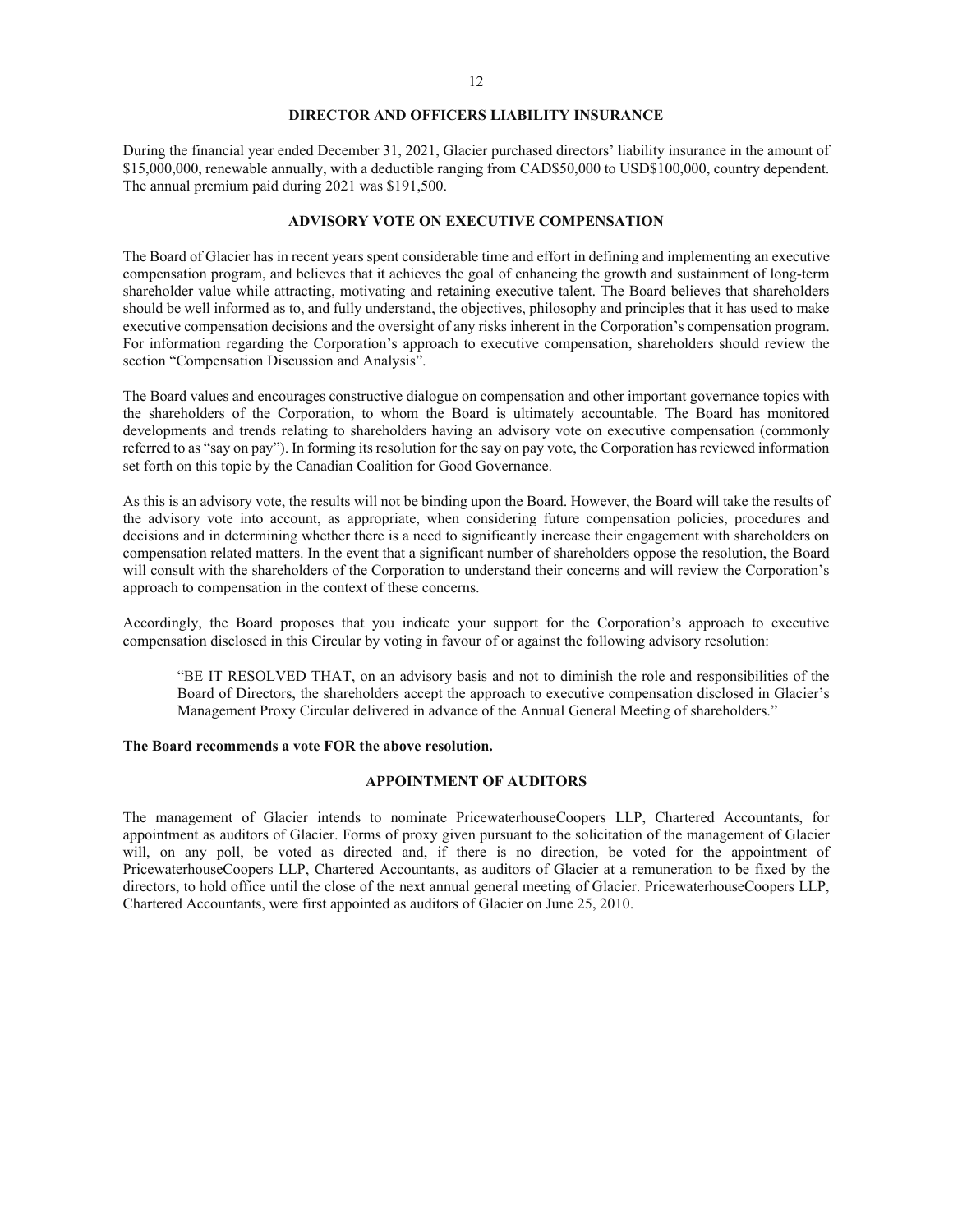#### **DIRECTOR AND OFFICERS LIABILITY INSURANCE**

During the financial year ended December 31, 2021, Glacier purchased directors' liability insurance in the amount of \$15,000,000, renewable annually, with a deductible ranging from CAD\$50,000 to USD\$100,000, country dependent. The annual premium paid during 2021 was \$191,500.

### **ADVISORY VOTE ON EXECUTIVE COMPENSATION**

The Board of Glacier has in recent years spent considerable time and effort in defining and implementing an executive compensation program, and believes that it achieves the goal of enhancing the growth and sustainment of long-term shareholder value while attracting, motivating and retaining executive talent. The Board believes that shareholders should be well informed as to, and fully understand, the objectives, philosophy and principles that it has used to make executive compensation decisions and the oversight of any risks inherent in the Corporation's compensation program. For information regarding the Corporation's approach to executive compensation, shareholders should review the section "Compensation Discussion and Analysis".

The Board values and encourages constructive dialogue on compensation and other important governance topics with the shareholders of the Corporation, to whom the Board is ultimately accountable. The Board has monitored developments and trends relating to shareholders having an advisory vote on executive compensation (commonly referred to as "say on pay"). In forming its resolution for the say on pay vote, the Corporation has reviewed information set forth on this topic by the Canadian Coalition for Good Governance.

As this is an advisory vote, the results will not be binding upon the Board. However, the Board will take the results of the advisory vote into account, as appropriate, when considering future compensation policies, procedures and decisions and in determining whether there is a need to significantly increase their engagement with shareholders on compensation related matters. In the event that a significant number of shareholders oppose the resolution, the Board will consult with the shareholders of the Corporation to understand their concerns and will review the Corporation's approach to compensation in the context of these concerns.

Accordingly, the Board proposes that you indicate your support for the Corporation's approach to executive compensation disclosed in this Circular by voting in favour of or against the following advisory resolution:

"BE IT RESOLVED THAT, on an advisory basis and not to diminish the role and responsibilities of the Board of Directors, the shareholders accept the approach to executive compensation disclosed in Glacier's Management Proxy Circular delivered in advance of the Annual General Meeting of shareholders."

#### **The Board recommends a vote FOR the above resolution.**

## **APPOINTMENT OF AUDITORS**

The management of Glacier intends to nominate PricewaterhouseCoopers LLP, Chartered Accountants, for appointment as auditors of Glacier. Forms of proxy given pursuant to the solicitation of the management of Glacier will, on any poll, be voted as directed and, if there is no direction, be voted for the appointment of PricewaterhouseCoopers LLP, Chartered Accountants, as auditors of Glacier at a remuneration to be fixed by the directors, to hold office until the close of the next annual general meeting of Glacier. PricewaterhouseCoopers LLP, Chartered Accountants, were first appointed as auditors of Glacier on June 25, 2010.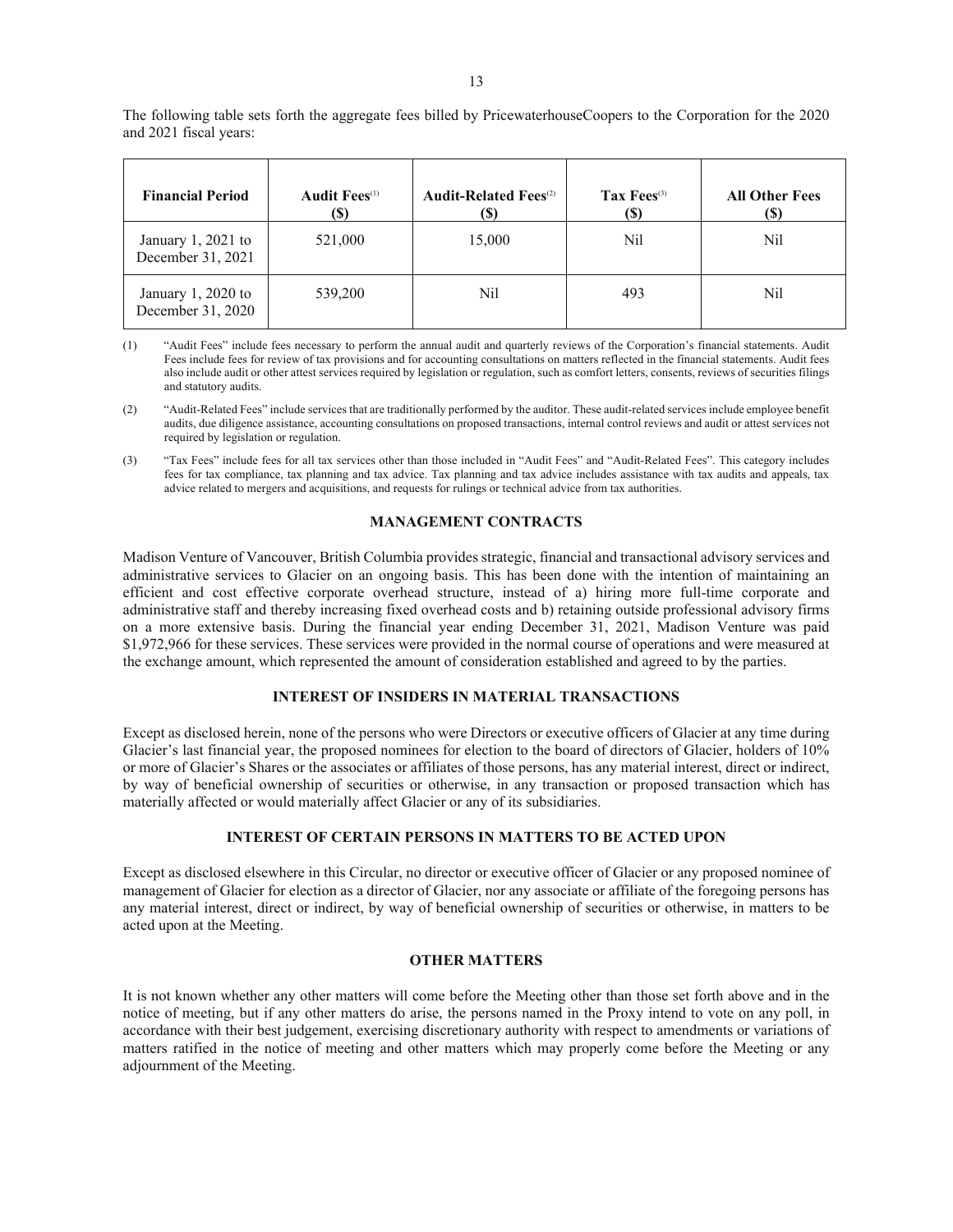The following table sets forth the aggregate fees billed by PricewaterhouseCoopers to the Corporation for the 2020 and 2021 fiscal years:

| <b>Financial Period</b>                  | <b>Audit Fees</b> <sup>(1)</sup><br>(S) | <b>Audit-Related Fees</b> <sup>(2)</sup><br>(S) | Tax $Fees^{(3)}$<br>(S) | <b>All Other Fees</b><br>(S) |
|------------------------------------------|-----------------------------------------|-------------------------------------------------|-------------------------|------------------------------|
| January 1, 2021 to<br>December 31, 2021  | 521,000                                 | 15,000                                          | Nil                     | Nil                          |
| January $1,2020$ to<br>December 31, 2020 | 539,200                                 | Nil                                             | 493                     | Nil                          |

(1) "Audit Fees" include fees necessary to perform the annual audit and quarterly reviews of the Corporation's financial statements. Audit Fees include fees for review of tax provisions and for accounting consultations on matters reflected in the financial statements. Audit fees also include audit or other attest services required by legislation or regulation, such as comfort letters, consents, reviews of securities filings and statutory audits.

- (2) "Audit-Related Fees" include services that are traditionally performed by the auditor. These audit-related services include employee benefit audits, due diligence assistance, accounting consultations on proposed transactions, internal control reviews and audit or attest services not required by legislation or regulation.
- (3) "Tax Fees" include fees for all tax services other than those included in "Audit Fees" and "Audit-Related Fees". This category includes fees for tax compliance, tax planning and tax advice. Tax planning and tax advice includes assistance with tax audits and appeals, tax advice related to mergers and acquisitions, and requests for rulings or technical advice from tax authorities.

## **MANAGEMENT CONTRACTS**

Madison Venture of Vancouver, British Columbia provides strategic, financial and transactional advisory services and administrative services to Glacier on an ongoing basis. This has been done with the intention of maintaining an efficient and cost effective corporate overhead structure, instead of a) hiring more full-time corporate and administrative staff and thereby increasing fixed overhead costs and b) retaining outside professional advisory firms on a more extensive basis. During the financial year ending December 31, 2021, Madison Venture was paid \$1,972,966 for these services. These services were provided in the normal course of operations and were measured at the exchange amount, which represented the amount of consideration established and agreed to by the parties.

#### **INTEREST OF INSIDERS IN MATERIAL TRANSACTIONS**

Except as disclosed herein, none of the persons who were Directors or executive officers of Glacier at any time during Glacier's last financial year, the proposed nominees for election to the board of directors of Glacier, holders of 10% or more of Glacier's Shares or the associates or affiliates of those persons, has any material interest, direct or indirect, by way of beneficial ownership of securities or otherwise, in any transaction or proposed transaction which has materially affected or would materially affect Glacier or any of its subsidiaries.

### **INTEREST OF CERTAIN PERSONS IN MATTERS TO BE ACTED UPON**

Except as disclosed elsewhere in this Circular, no director or executive officer of Glacier or any proposed nominee of management of Glacier for election as a director of Glacier, nor any associate or affiliate of the foregoing persons has any material interest, direct or indirect, by way of beneficial ownership of securities or otherwise, in matters to be acted upon at the Meeting.

#### **OTHER MATTERS**

It is not known whether any other matters will come before the Meeting other than those set forth above and in the notice of meeting, but if any other matters do arise, the persons named in the Proxy intend to vote on any poll, in accordance with their best judgement, exercising discretionary authority with respect to amendments or variations of matters ratified in the notice of meeting and other matters which may properly come before the Meeting or any adjournment of the Meeting.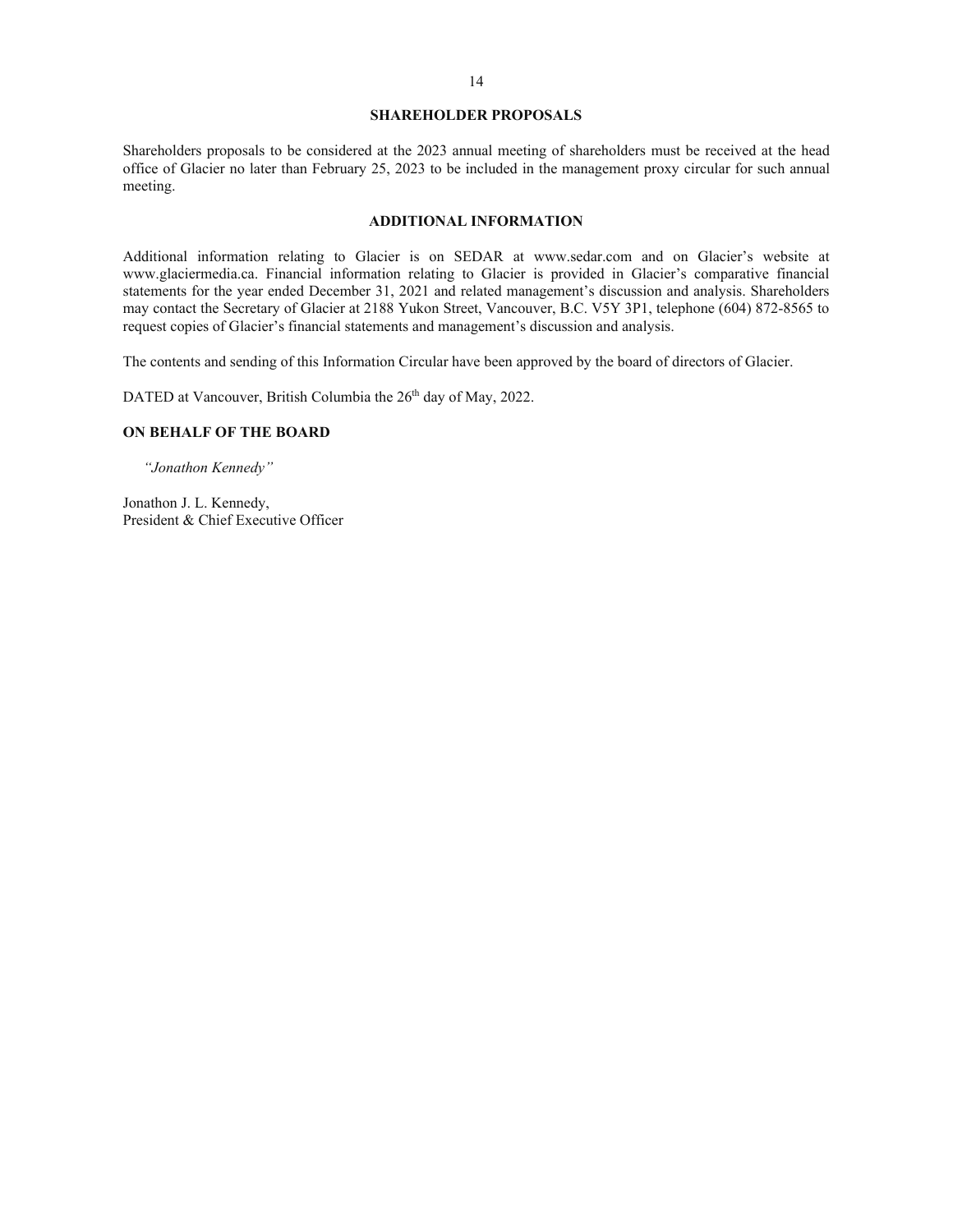#### **SHAREHOLDER PROPOSALS**

Shareholders proposals to be considered at the 2023 annual meeting of shareholders must be received at the head office of Glacier no later than February 25, 2023 to be included in the management proxy circular for such annual meeting.

### **ADDITIONAL INFORMATION**

Additional information relating to Glacier is on SEDAR at www.sedar.com and on Glacier's website at www.glaciermedia.ca. Financial information relating to Glacier is provided in Glacier's comparative financial statements for the year ended December 31, 2021 and related management's discussion and analysis. Shareholders may contact the Secretary of Glacier at 2188 Yukon Street, Vancouver, B.C. V5Y 3P1, telephone (604) 872-8565 to request copies of Glacier's financial statements and management's discussion and analysis.

The contents and sending of this Information Circular have been approved by the board of directors of Glacier.

DATED at Vancouver, British Columbia the 26<sup>th</sup> day of May, 2022.

## **ON BEHALF OF THE BOARD**

*"Jonathon Kennedy"*

Jonathon J. L. Kennedy, President & Chief Executive Officer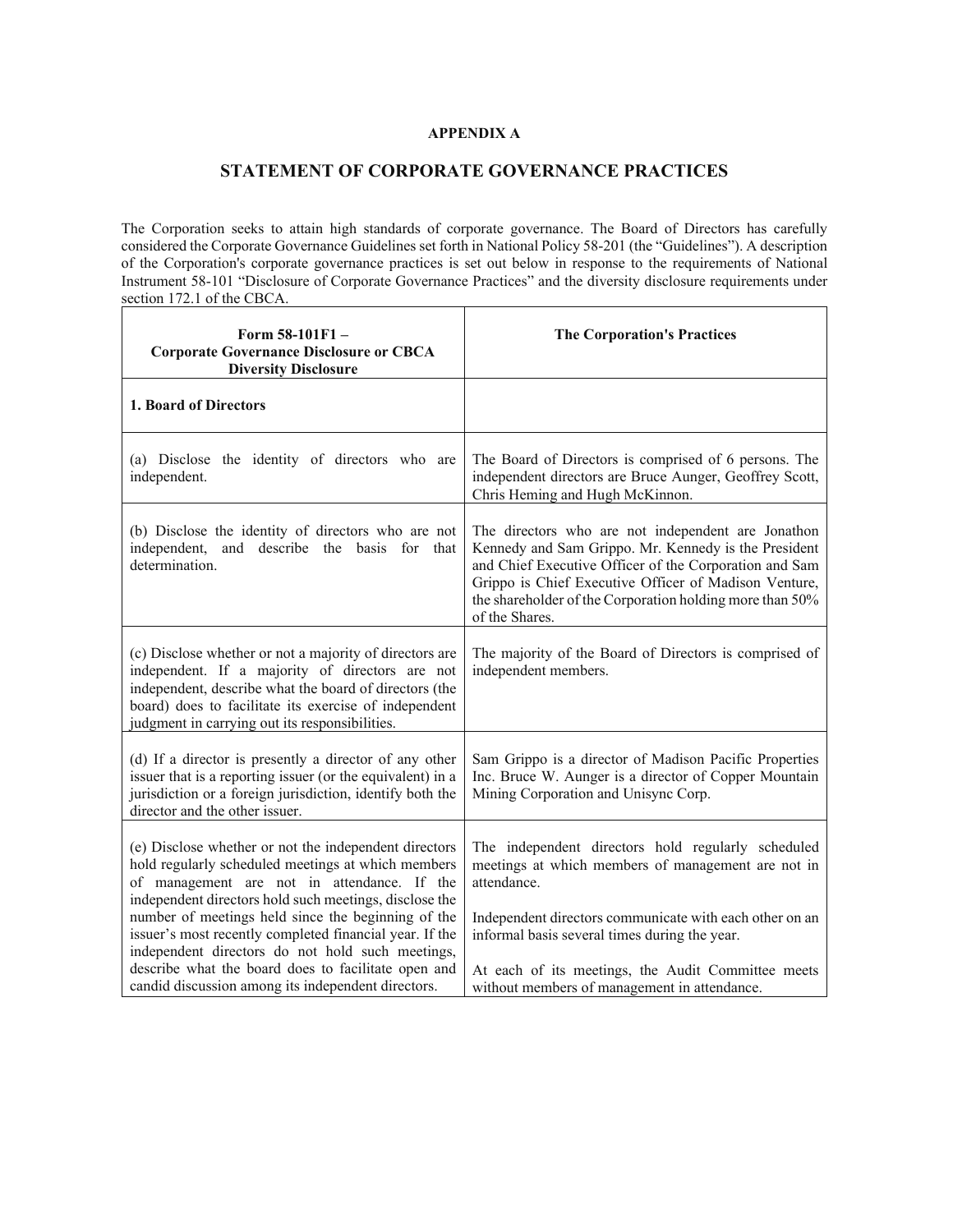# **APPENDIX A**

# **STATEMENT OF CORPORATE GOVERNANCE PRACTICES**

The Corporation seeks to attain high standards of corporate governance. The Board of Directors has carefully considered the Corporate Governance Guidelines set forth in National Policy 58-201 (the "Guidelines"). A description of the Corporation's corporate governance practices is set out below in response to the requirements of National Instrument 58-101 "Disclosure of Corporate Governance Practices" and the diversity disclosure requirements under section 172.1 of the CBCA.

| Form 58-101F1-<br><b>Corporate Governance Disclosure or CBCA</b><br><b>Diversity Disclosure</b>                                                                                                                                                                                                                                                                                           | <b>The Corporation's Practices</b>                                                                                                                                                                                                                                                                          |
|-------------------------------------------------------------------------------------------------------------------------------------------------------------------------------------------------------------------------------------------------------------------------------------------------------------------------------------------------------------------------------------------|-------------------------------------------------------------------------------------------------------------------------------------------------------------------------------------------------------------------------------------------------------------------------------------------------------------|
| 1. Board of Directors                                                                                                                                                                                                                                                                                                                                                                     |                                                                                                                                                                                                                                                                                                             |
| (a) Disclose the identity of directors who are<br>independent.                                                                                                                                                                                                                                                                                                                            | The Board of Directors is comprised of 6 persons. The<br>independent directors are Bruce Aunger, Geoffrey Scott,<br>Chris Heming and Hugh McKinnon.                                                                                                                                                         |
| (b) Disclose the identity of directors who are not<br>independent, and describe the basis for that<br>determination.                                                                                                                                                                                                                                                                      | The directors who are not independent are Jonathon<br>Kennedy and Sam Grippo. Mr. Kennedy is the President<br>and Chief Executive Officer of the Corporation and Sam<br>Grippo is Chief Executive Officer of Madison Venture,<br>the shareholder of the Corporation holding more than 50%<br>of the Shares. |
| (c) Disclose whether or not a majority of directors are<br>independent. If a majority of directors are not<br>independent, describe what the board of directors (the<br>board) does to facilitate its exercise of independent<br>judgment in carrying out its responsibilities.                                                                                                           | The majority of the Board of Directors is comprised of<br>independent members.                                                                                                                                                                                                                              |
| (d) If a director is presently a director of any other<br>issuer that is a reporting issuer (or the equivalent) in a<br>jurisdiction or a foreign jurisdiction, identify both the<br>director and the other issuer.                                                                                                                                                                       | Sam Grippo is a director of Madison Pacific Properties<br>Inc. Bruce W. Aunger is a director of Copper Mountain<br>Mining Corporation and Unisync Corp.                                                                                                                                                     |
| (e) Disclose whether or not the independent directors<br>hold regularly scheduled meetings at which members<br>of management are not in attendance. If the<br>independent directors hold such meetings, disclose the<br>number of meetings held since the beginning of the<br>issuer's most recently completed financial year. If the<br>independent directors do not hold such meetings, | The independent directors hold regularly scheduled<br>meetings at which members of management are not in<br>attendance.<br>Independent directors communicate with each other on an<br>informal basis several times during the year.                                                                         |
| describe what the board does to facilitate open and<br>candid discussion among its independent directors.                                                                                                                                                                                                                                                                                 | At each of its meetings, the Audit Committee meets<br>without members of management in attendance.                                                                                                                                                                                                          |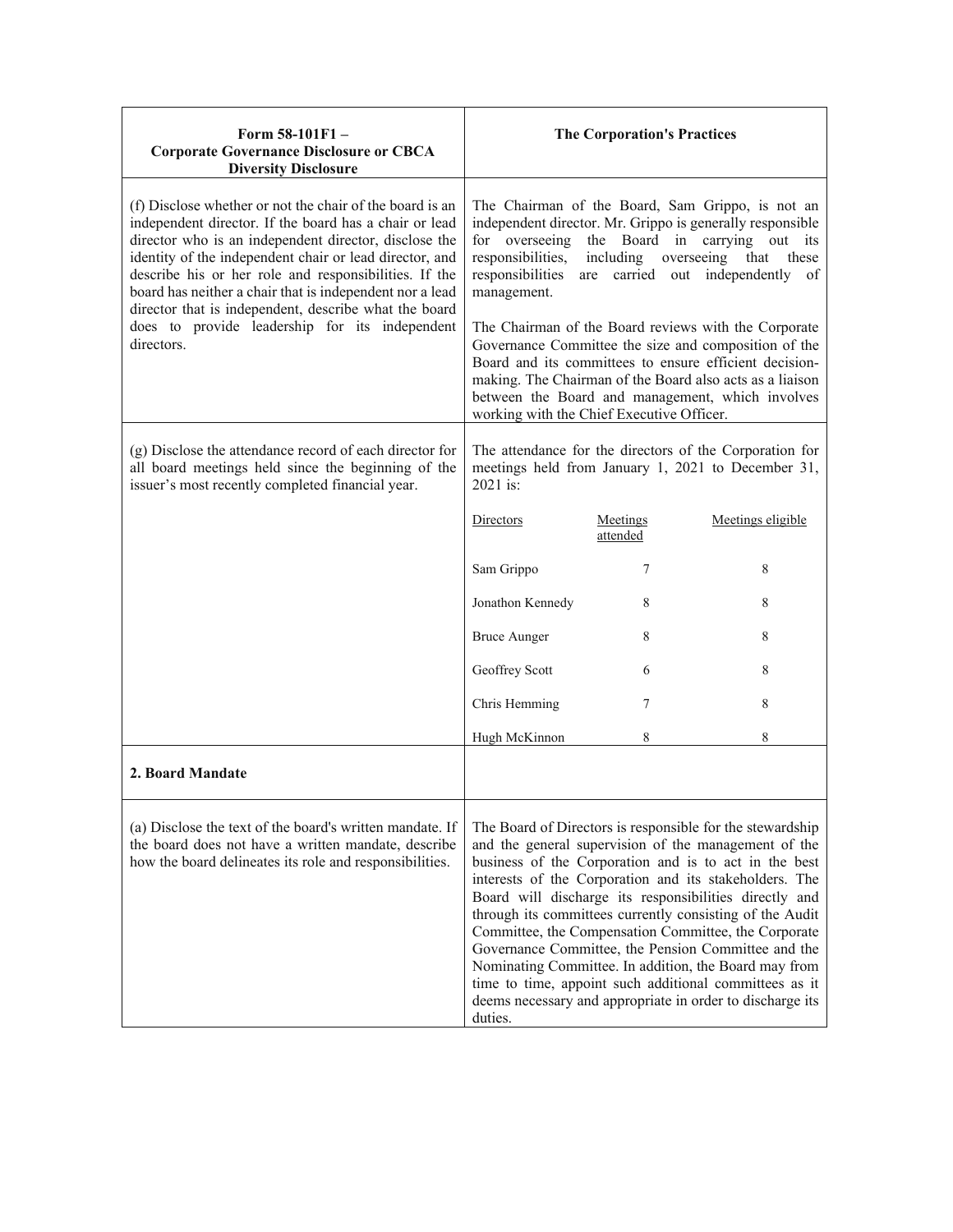| Form 58-101F1-<br><b>Corporate Governance Disclosure or CBCA</b><br><b>Diversity Disclosure</b>                                                                                                                                                                                                                                                                                                                                                                                      |                                                                                                                     | <b>The Corporation's Practices</b> |                                                                                                                                                                                                                                                                                                                                                                                                                                                                                                                                                                                                                                                           |
|--------------------------------------------------------------------------------------------------------------------------------------------------------------------------------------------------------------------------------------------------------------------------------------------------------------------------------------------------------------------------------------------------------------------------------------------------------------------------------------|---------------------------------------------------------------------------------------------------------------------|------------------------------------|-----------------------------------------------------------------------------------------------------------------------------------------------------------------------------------------------------------------------------------------------------------------------------------------------------------------------------------------------------------------------------------------------------------------------------------------------------------------------------------------------------------------------------------------------------------------------------------------------------------------------------------------------------------|
| (f) Disclose whether or not the chair of the board is an<br>independent director. If the board has a chair or lead<br>director who is an independent director, disclose the<br>identity of the independent chair or lead director, and<br>describe his or her role and responsibilities. If the<br>board has neither a chair that is independent nor a lead<br>director that is independent, describe what the board<br>does to provide leadership for its independent<br>directors. | for overseeing<br>responsibilities,<br>responsibilities<br>management.<br>working with the Chief Executive Officer. | including overseeing               | The Chairman of the Board, Sam Grippo, is not an<br>independent director. Mr. Grippo is generally responsible<br>the Board in carrying out<br>its<br>that<br>these<br>are carried out independently of<br>The Chairman of the Board reviews with the Corporate<br>Governance Committee the size and composition of the<br>Board and its committees to ensure efficient decision-<br>making. The Chairman of the Board also acts as a liaison<br>between the Board and management, which involves                                                                                                                                                          |
| $(g)$ Disclose the attendance record of each director for<br>all board meetings held since the beginning of the<br>issuer's most recently completed financial year.                                                                                                                                                                                                                                                                                                                  | 2021 is:                                                                                                            |                                    | The attendance for the directors of the Corporation for<br>meetings held from January 1, 2021 to December 31,                                                                                                                                                                                                                                                                                                                                                                                                                                                                                                                                             |
|                                                                                                                                                                                                                                                                                                                                                                                                                                                                                      | Directors                                                                                                           | Meetings<br>attended               | Meetings eligible                                                                                                                                                                                                                                                                                                                                                                                                                                                                                                                                                                                                                                         |
|                                                                                                                                                                                                                                                                                                                                                                                                                                                                                      | Sam Grippo                                                                                                          | 7                                  | 8                                                                                                                                                                                                                                                                                                                                                                                                                                                                                                                                                                                                                                                         |
|                                                                                                                                                                                                                                                                                                                                                                                                                                                                                      | Jonathon Kennedy                                                                                                    | 8                                  | 8                                                                                                                                                                                                                                                                                                                                                                                                                                                                                                                                                                                                                                                         |
|                                                                                                                                                                                                                                                                                                                                                                                                                                                                                      | <b>Bruce Aunger</b>                                                                                                 | 8                                  | 8                                                                                                                                                                                                                                                                                                                                                                                                                                                                                                                                                                                                                                                         |
|                                                                                                                                                                                                                                                                                                                                                                                                                                                                                      | Geoffrey Scott                                                                                                      | 6                                  | 8                                                                                                                                                                                                                                                                                                                                                                                                                                                                                                                                                                                                                                                         |
|                                                                                                                                                                                                                                                                                                                                                                                                                                                                                      | Chris Hemming                                                                                                       | 7                                  | 8                                                                                                                                                                                                                                                                                                                                                                                                                                                                                                                                                                                                                                                         |
|                                                                                                                                                                                                                                                                                                                                                                                                                                                                                      | Hugh McKinnon                                                                                                       | 8                                  | 8                                                                                                                                                                                                                                                                                                                                                                                                                                                                                                                                                                                                                                                         |
| 2. Board Mandate                                                                                                                                                                                                                                                                                                                                                                                                                                                                     |                                                                                                                     |                                    |                                                                                                                                                                                                                                                                                                                                                                                                                                                                                                                                                                                                                                                           |
| (a) Disclose the text of the board's written mandate. If<br>the board does not have a written mandate, describe<br>how the board delineates its role and responsibilities.                                                                                                                                                                                                                                                                                                           | duties.                                                                                                             |                                    | The Board of Directors is responsible for the stewardship<br>and the general supervision of the management of the<br>business of the Corporation and is to act in the best<br>interests of the Corporation and its stakeholders. The<br>Board will discharge its responsibilities directly and<br>through its committees currently consisting of the Audit<br>Committee, the Compensation Committee, the Corporate<br>Governance Committee, the Pension Committee and the<br>Nominating Committee. In addition, the Board may from<br>time to time, appoint such additional committees as it<br>deems necessary and appropriate in order to discharge its |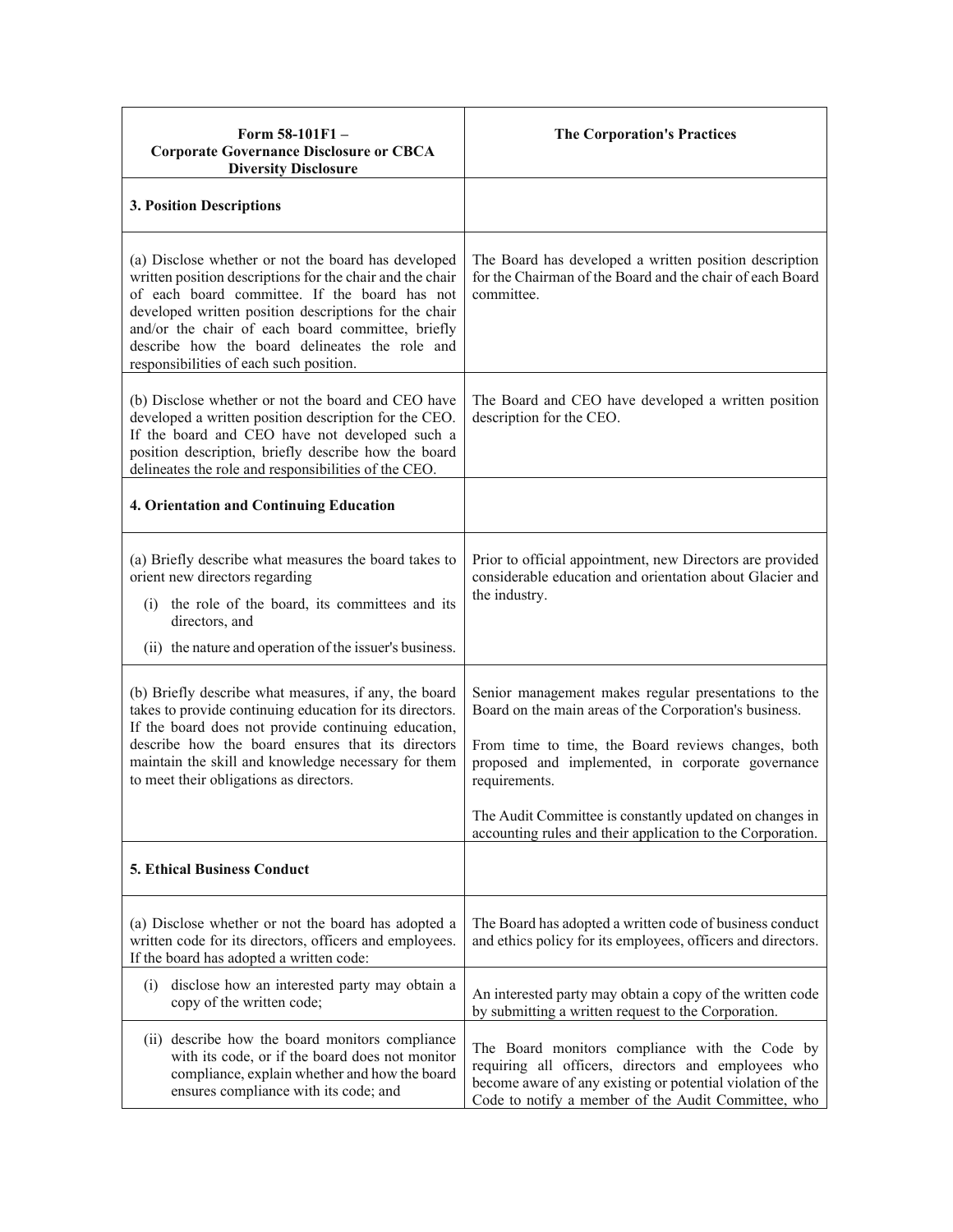| Form $58-101F1 -$<br><b>Corporate Governance Disclosure or CBCA</b><br><b>Diversity Disclosure</b>                                                                                                                                                                                                                                                                           | <b>The Corporation's Practices</b>                                                                                                                                                                                                                                                                                                                                  |
|------------------------------------------------------------------------------------------------------------------------------------------------------------------------------------------------------------------------------------------------------------------------------------------------------------------------------------------------------------------------------|---------------------------------------------------------------------------------------------------------------------------------------------------------------------------------------------------------------------------------------------------------------------------------------------------------------------------------------------------------------------|
| 3. Position Descriptions                                                                                                                                                                                                                                                                                                                                                     |                                                                                                                                                                                                                                                                                                                                                                     |
| (a) Disclose whether or not the board has developed<br>written position descriptions for the chair and the chair<br>of each board committee. If the board has not<br>developed written position descriptions for the chair<br>and/or the chair of each board committee, briefly<br>describe how the board delineates the role and<br>responsibilities of each such position. | The Board has developed a written position description<br>for the Chairman of the Board and the chair of each Board<br>committee.                                                                                                                                                                                                                                   |
| (b) Disclose whether or not the board and CEO have<br>developed a written position description for the CEO.<br>If the board and CEO have not developed such a<br>position description, briefly describe how the board<br>delineates the role and responsibilities of the CEO.                                                                                                | The Board and CEO have developed a written position<br>description for the CEO.                                                                                                                                                                                                                                                                                     |
| <b>4. Orientation and Continuing Education</b>                                                                                                                                                                                                                                                                                                                               |                                                                                                                                                                                                                                                                                                                                                                     |
| (a) Briefly describe what measures the board takes to<br>orient new directors regarding<br>the role of the board, its committees and its<br>(i)<br>directors, and<br>(ii) the nature and operation of the issuer's business.                                                                                                                                                 | Prior to official appointment, new Directors are provided<br>considerable education and orientation about Glacier and<br>the industry.                                                                                                                                                                                                                              |
| (b) Briefly describe what measures, if any, the board<br>takes to provide continuing education for its directors.<br>If the board does not provide continuing education,<br>describe how the board ensures that its directors<br>maintain the skill and knowledge necessary for them<br>to meet their obligations as directors.                                              | Senior management makes regular presentations to the<br>Board on the main areas of the Corporation's business.<br>From time to time, the Board reviews changes, both<br>proposed and implemented, in corporate governance<br>requirements.<br>The Audit Committee is constantly updated on changes in<br>accounting rules and their application to the Corporation. |
| <b>5. Ethical Business Conduct</b>                                                                                                                                                                                                                                                                                                                                           |                                                                                                                                                                                                                                                                                                                                                                     |
| (a) Disclose whether or not the board has adopted a<br>written code for its directors, officers and employees.<br>If the board has adopted a written code:                                                                                                                                                                                                                   | The Board has adopted a written code of business conduct<br>and ethics policy for its employees, officers and directors.                                                                                                                                                                                                                                            |
| disclose how an interested party may obtain a<br>(i)<br>copy of the written code;                                                                                                                                                                                                                                                                                            | An interested party may obtain a copy of the written code<br>by submitting a written request to the Corporation.                                                                                                                                                                                                                                                    |
| (ii) describe how the board monitors compliance<br>with its code, or if the board does not monitor<br>compliance, explain whether and how the board<br>ensures compliance with its code; and                                                                                                                                                                                 | The Board monitors compliance with the Code by<br>requiring all officers, directors and employees who<br>become aware of any existing or potential violation of the<br>Code to notify a member of the Audit Committee, who                                                                                                                                          |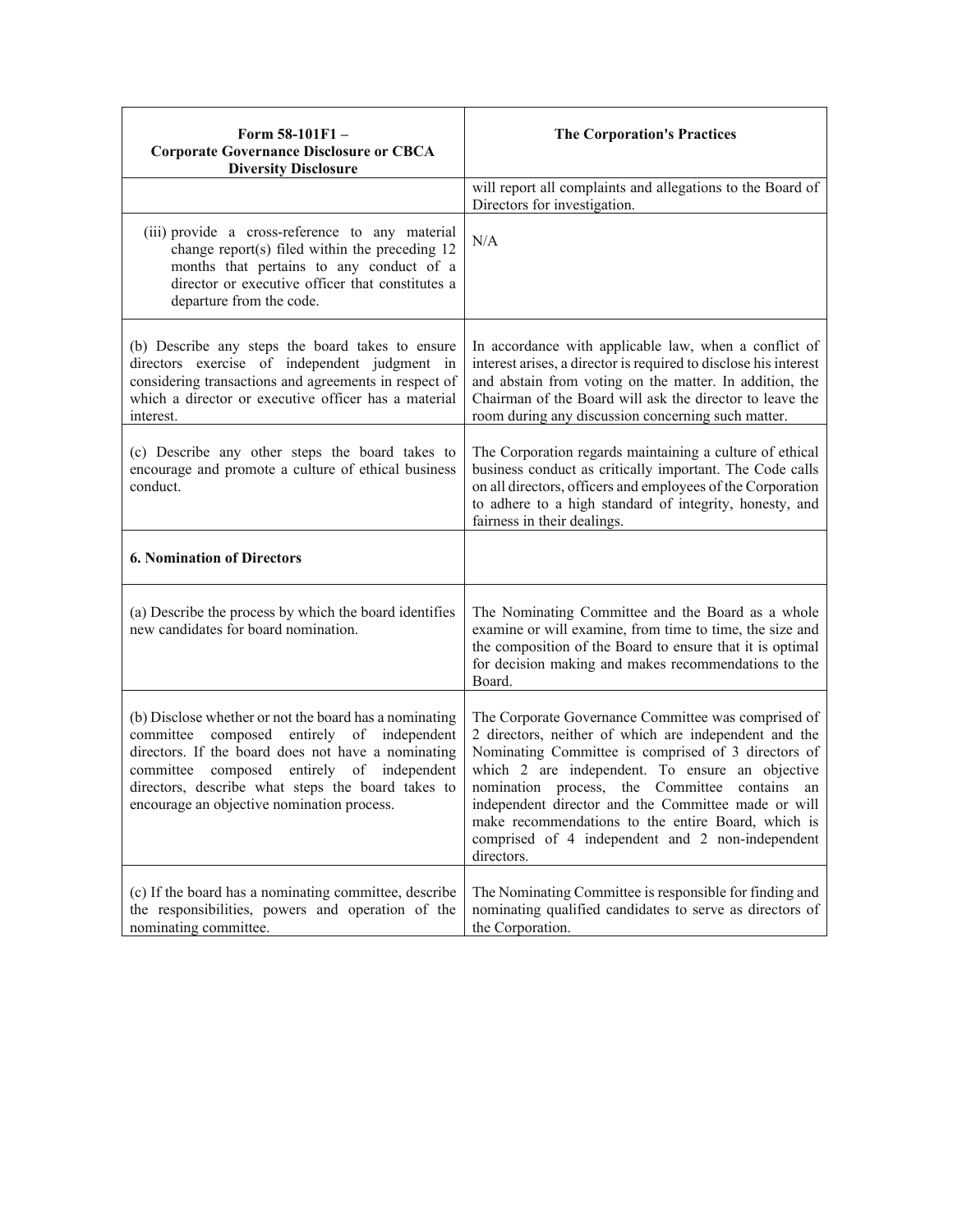| Form 58-101F1-<br><b>Corporate Governance Disclosure or CBCA</b><br><b>Diversity Disclosure</b>                                                                                                                                                                                                                | <b>The Corporation's Practices</b>                                                                                                                                                                                                                                                                                                                                                                                                                     |
|----------------------------------------------------------------------------------------------------------------------------------------------------------------------------------------------------------------------------------------------------------------------------------------------------------------|--------------------------------------------------------------------------------------------------------------------------------------------------------------------------------------------------------------------------------------------------------------------------------------------------------------------------------------------------------------------------------------------------------------------------------------------------------|
|                                                                                                                                                                                                                                                                                                                | will report all complaints and allegations to the Board of<br>Directors for investigation.                                                                                                                                                                                                                                                                                                                                                             |
| (iii) provide a cross-reference to any material<br>change report(s) filed within the preceding 12<br>months that pertains to any conduct of a<br>director or executive officer that constitutes a<br>departure from the code.                                                                                  | N/A                                                                                                                                                                                                                                                                                                                                                                                                                                                    |
| (b) Describe any steps the board takes to ensure<br>directors exercise of independent judgment in<br>considering transactions and agreements in respect of<br>which a director or executive officer has a material<br>interest.                                                                                | In accordance with applicable law, when a conflict of<br>interest arises, a director is required to disclose his interest<br>and abstain from voting on the matter. In addition, the<br>Chairman of the Board will ask the director to leave the<br>room during any discussion concerning such matter.                                                                                                                                                 |
| (c) Describe any other steps the board takes to<br>encourage and promote a culture of ethical business<br>conduct.                                                                                                                                                                                             | The Corporation regards maintaining a culture of ethical<br>business conduct as critically important. The Code calls<br>on all directors, officers and employees of the Corporation<br>to adhere to a high standard of integrity, honesty, and<br>fairness in their dealings.                                                                                                                                                                          |
| <b>6. Nomination of Directors</b>                                                                                                                                                                                                                                                                              |                                                                                                                                                                                                                                                                                                                                                                                                                                                        |
| (a) Describe the process by which the board identifies<br>new candidates for board nomination.                                                                                                                                                                                                                 | The Nominating Committee and the Board as a whole<br>examine or will examine, from time to time, the size and<br>the composition of the Board to ensure that it is optimal<br>for decision making and makes recommendations to the<br>Board.                                                                                                                                                                                                           |
| (b) Disclose whether or not the board has a nominating<br>committee composed entirely of independent<br>directors. If the board does not have a nominating<br>composed entirely of independent<br>committee<br>directors, describe what steps the board takes to<br>encourage an objective nomination process. | The Corporate Governance Committee was comprised of<br>2 directors, neither of which are independent and the<br>Nominating Committee is comprised of 3 directors of<br>which 2 are independent. To ensure an objective<br>nomination process, the Committee contains an<br>independent director and the Committee made or will<br>make recommendations to the entire Board, which is<br>comprised of 4 independent and 2 non-independent<br>directors. |
| (c) If the board has a nominating committee, describe<br>the responsibilities, powers and operation of the<br>nominating committee.                                                                                                                                                                            | The Nominating Committee is responsible for finding and<br>nominating qualified candidates to serve as directors of<br>the Corporation.                                                                                                                                                                                                                                                                                                                |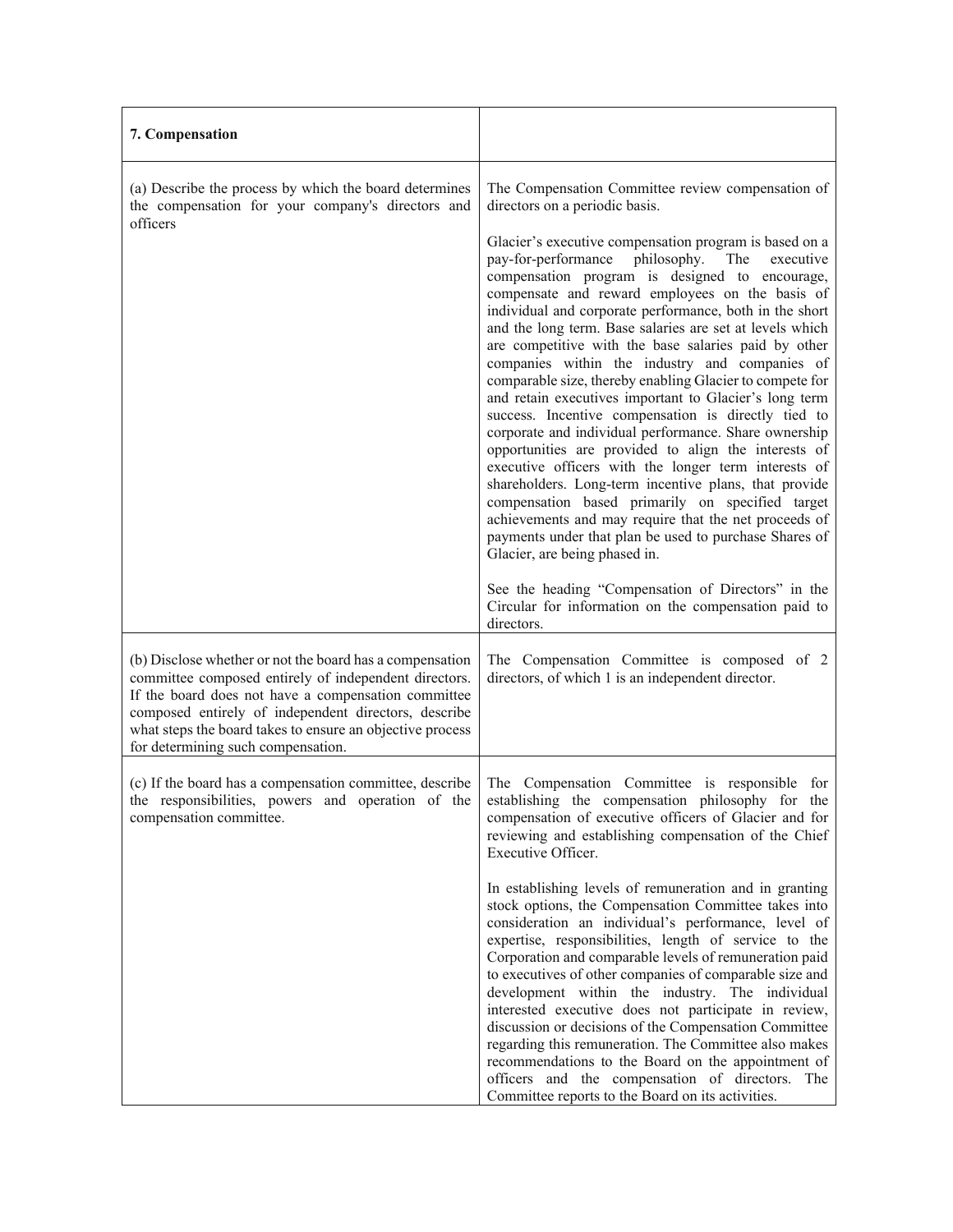| 7. Compensation                                                                                                                                                                                                                                                                                                                     |                                                                                                                                                                                                                                                                                                                                                                                                                                                                                                                                                                                                                                                                                                                                                                                                                                                                                                                                                                                                                                                                                                                                     |
|-------------------------------------------------------------------------------------------------------------------------------------------------------------------------------------------------------------------------------------------------------------------------------------------------------------------------------------|-------------------------------------------------------------------------------------------------------------------------------------------------------------------------------------------------------------------------------------------------------------------------------------------------------------------------------------------------------------------------------------------------------------------------------------------------------------------------------------------------------------------------------------------------------------------------------------------------------------------------------------------------------------------------------------------------------------------------------------------------------------------------------------------------------------------------------------------------------------------------------------------------------------------------------------------------------------------------------------------------------------------------------------------------------------------------------------------------------------------------------------|
| (a) Describe the process by which the board determines<br>the compensation for your company's directors and                                                                                                                                                                                                                         | The Compensation Committee review compensation of<br>directors on a periodic basis.                                                                                                                                                                                                                                                                                                                                                                                                                                                                                                                                                                                                                                                                                                                                                                                                                                                                                                                                                                                                                                                 |
| officers                                                                                                                                                                                                                                                                                                                            | Glacier's executive compensation program is based on a<br>pay-for-performance<br>philosophy.<br>executive<br>The<br>compensation program is designed to encourage,<br>compensate and reward employees on the basis of<br>individual and corporate performance, both in the short<br>and the long term. Base salaries are set at levels which<br>are competitive with the base salaries paid by other<br>companies within the industry and companies of<br>comparable size, thereby enabling Glacier to compete for<br>and retain executives important to Glacier's long term<br>success. Incentive compensation is directly tied to<br>corporate and individual performance. Share ownership<br>opportunities are provided to align the interests of<br>executive officers with the longer term interests of<br>shareholders. Long-term incentive plans, that provide<br>compensation based primarily on specified target<br>achievements and may require that the net proceeds of<br>payments under that plan be used to purchase Shares of<br>Glacier, are being phased in.<br>See the heading "Compensation of Directors" in the |
|                                                                                                                                                                                                                                                                                                                                     | Circular for information on the compensation paid to<br>directors.                                                                                                                                                                                                                                                                                                                                                                                                                                                                                                                                                                                                                                                                                                                                                                                                                                                                                                                                                                                                                                                                  |
| (b) Disclose whether or not the board has a compensation<br>committee composed entirely of independent directors.<br>If the board does not have a compensation committee<br>composed entirely of independent directors, describe<br>what steps the board takes to ensure an objective process<br>for determining such compensation. | The Compensation Committee is composed of 2<br>directors, of which 1 is an independent director.                                                                                                                                                                                                                                                                                                                                                                                                                                                                                                                                                                                                                                                                                                                                                                                                                                                                                                                                                                                                                                    |
| (c) If the board has a compensation committee, describe<br>the responsibilities, powers and operation of the<br>compensation committee.                                                                                                                                                                                             | The Compensation Committee is responsible for<br>establishing the compensation philosophy for the<br>compensation of executive officers of Glacier and for<br>reviewing and establishing compensation of the Chief<br>Executive Officer.                                                                                                                                                                                                                                                                                                                                                                                                                                                                                                                                                                                                                                                                                                                                                                                                                                                                                            |
|                                                                                                                                                                                                                                                                                                                                     | In establishing levels of remuneration and in granting<br>stock options, the Compensation Committee takes into<br>consideration an individual's performance, level of<br>expertise, responsibilities, length of service to the<br>Corporation and comparable levels of remuneration paid<br>to executives of other companies of comparable size and<br>development within the industry. The individual<br>interested executive does not participate in review,<br>discussion or decisions of the Compensation Committee<br>regarding this remuneration. The Committee also makes<br>recommendations to the Board on the appointment of<br>officers and the compensation of directors. The<br>Committee reports to the Board on its activities.                                                                                                                                                                                                                                                                                                                                                                                      |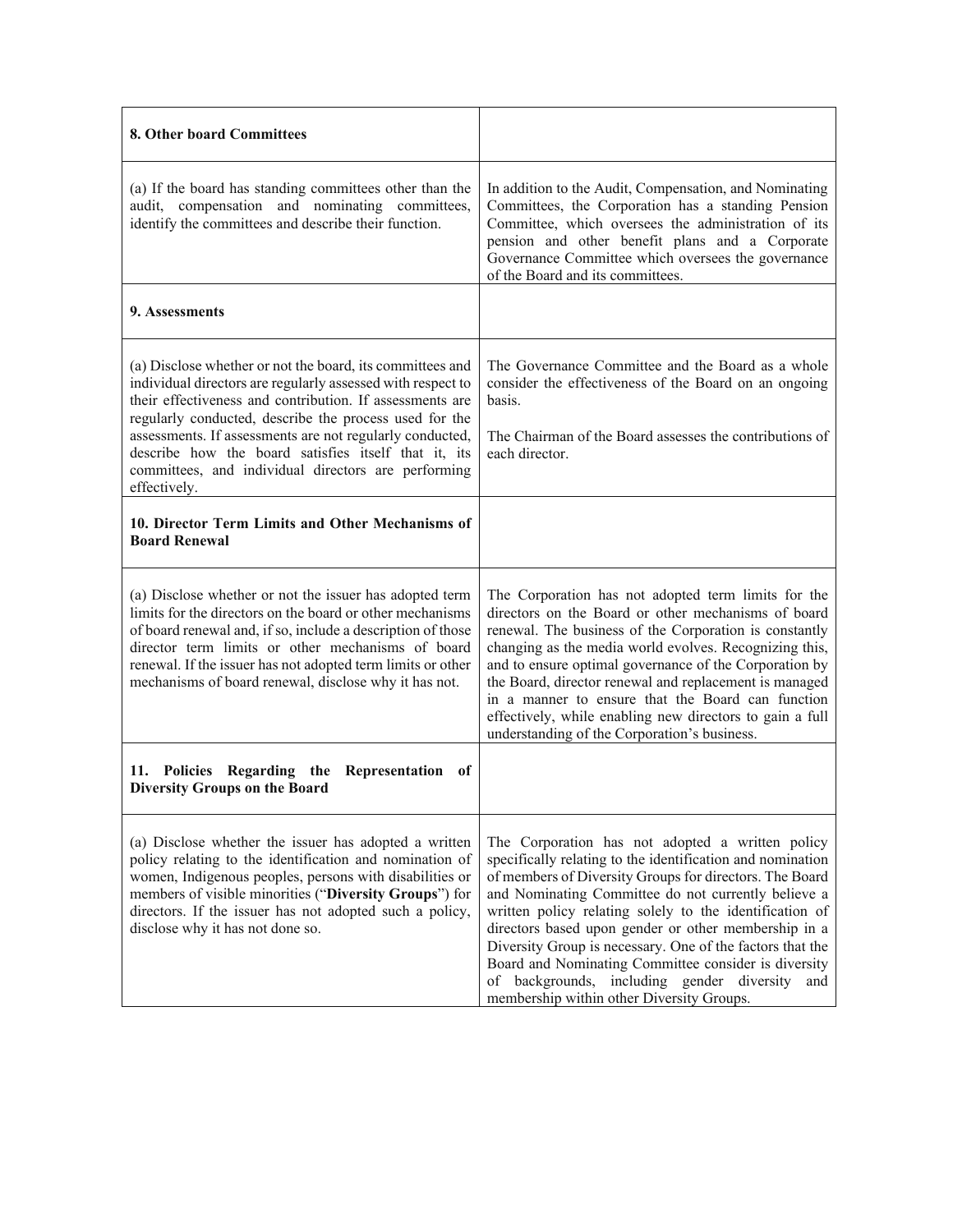| 8. Other board Committees                                                                                                                                                                                                                                                                                                                                                                                                                 |                                                                                                                                                                                                                                                                                                                                                                                                                                                                                                                                                                            |
|-------------------------------------------------------------------------------------------------------------------------------------------------------------------------------------------------------------------------------------------------------------------------------------------------------------------------------------------------------------------------------------------------------------------------------------------|----------------------------------------------------------------------------------------------------------------------------------------------------------------------------------------------------------------------------------------------------------------------------------------------------------------------------------------------------------------------------------------------------------------------------------------------------------------------------------------------------------------------------------------------------------------------------|
| (a) If the board has standing committees other than the<br>audit, compensation and nominating committees,<br>identify the committees and describe their function.                                                                                                                                                                                                                                                                         | In addition to the Audit, Compensation, and Nominating<br>Committees, the Corporation has a standing Pension<br>Committee, which oversees the administration of its<br>pension and other benefit plans and a Corporate<br>Governance Committee which oversees the governance<br>of the Board and its committees.                                                                                                                                                                                                                                                           |
| 9. Assessments                                                                                                                                                                                                                                                                                                                                                                                                                            |                                                                                                                                                                                                                                                                                                                                                                                                                                                                                                                                                                            |
| (a) Disclose whether or not the board, its committees and<br>individual directors are regularly assessed with respect to<br>their effectiveness and contribution. If assessments are<br>regularly conducted, describe the process used for the<br>assessments. If assessments are not regularly conducted,<br>describe how the board satisfies itself that it, its<br>committees, and individual directors are performing<br>effectively. | The Governance Committee and the Board as a whole<br>consider the effectiveness of the Board on an ongoing<br>basis.<br>The Chairman of the Board assesses the contributions of<br>each director.                                                                                                                                                                                                                                                                                                                                                                          |
| 10. Director Term Limits and Other Mechanisms of<br><b>Board Renewal</b>                                                                                                                                                                                                                                                                                                                                                                  |                                                                                                                                                                                                                                                                                                                                                                                                                                                                                                                                                                            |
| (a) Disclose whether or not the issuer has adopted term<br>limits for the directors on the board or other mechanisms<br>of board renewal and, if so, include a description of those<br>director term limits or other mechanisms of board<br>renewal. If the issuer has not adopted term limits or other<br>mechanisms of board renewal, disclose why it has not.                                                                          | The Corporation has not adopted term limits for the<br>directors on the Board or other mechanisms of board<br>renewal. The business of the Corporation is constantly<br>changing as the media world evolves. Recognizing this,<br>and to ensure optimal governance of the Corporation by<br>the Board, director renewal and replacement is managed<br>in a manner to ensure that the Board can function<br>effectively, while enabling new directors to gain a full<br>understanding of the Corporation's business.                                                        |
| Policies Regarding the<br>Representation<br>11.<br>- of<br><b>Diversity Groups on the Board</b>                                                                                                                                                                                                                                                                                                                                           |                                                                                                                                                                                                                                                                                                                                                                                                                                                                                                                                                                            |
| (a) Disclose whether the issuer has adopted a written<br>policy relating to the identification and nomination of<br>women, Indigenous peoples, persons with disabilities or<br>members of visible minorities ("Diversity Groups") for<br>directors. If the issuer has not adopted such a policy,<br>disclose why it has not done so.                                                                                                      | The Corporation has not adopted a written policy<br>specifically relating to the identification and nomination<br>of members of Diversity Groups for directors. The Board<br>and Nominating Committee do not currently believe a<br>written policy relating solely to the identification of<br>directors based upon gender or other membership in a<br>Diversity Group is necessary. One of the factors that the<br>Board and Nominating Committee consider is diversity<br>of backgrounds, including gender diversity<br>and<br>membership within other Diversity Groups. |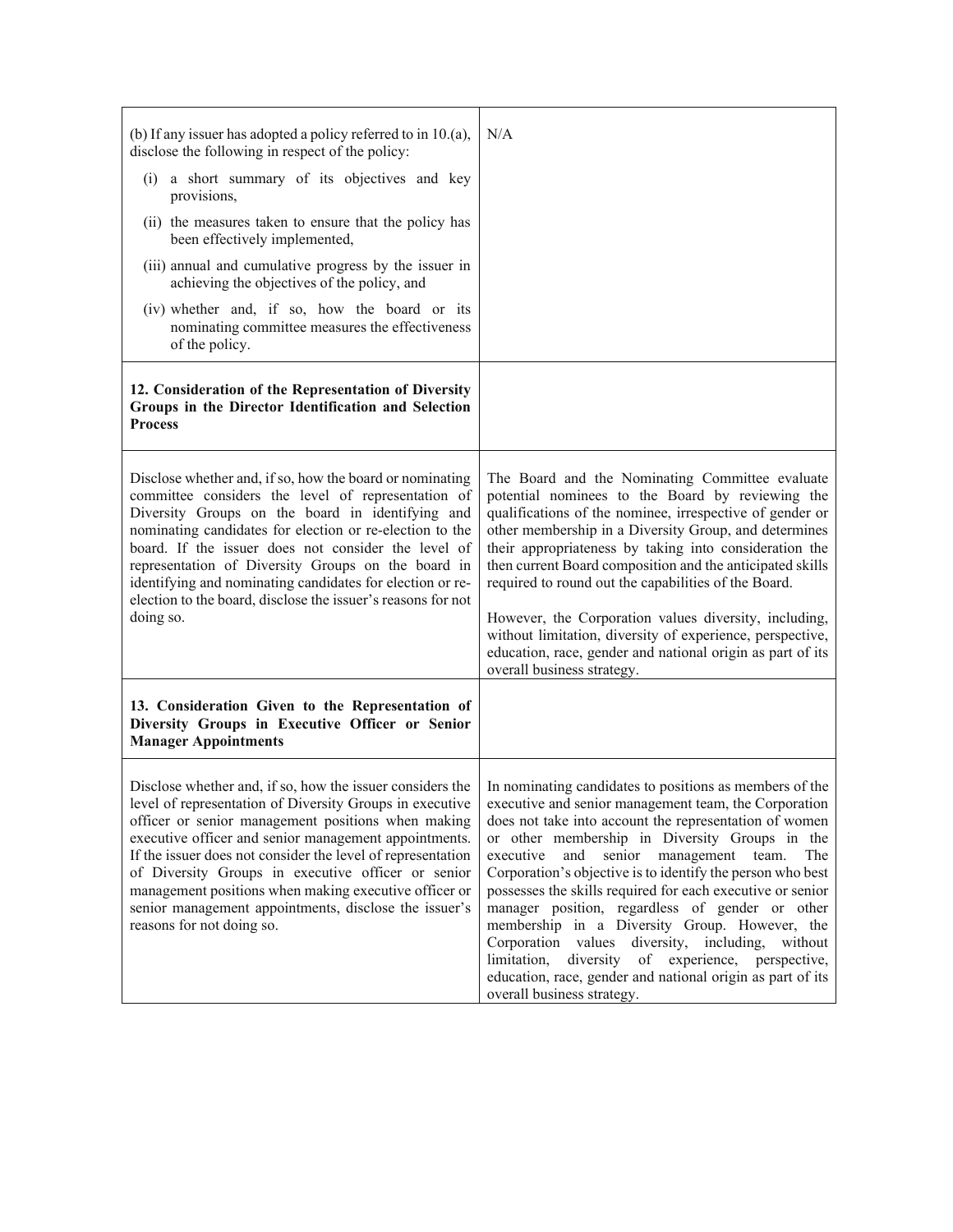| (b) If any issuer has adopted a policy referred to in $10.(a)$ ,<br>disclose the following in respect of the policy:<br>(i) a short summary of its objectives and key<br>provisions,<br>(ii) the measures taken to ensure that the policy has<br>been effectively implemented,<br>(iii) annual and cumulative progress by the issuer in<br>achieving the objectives of the policy, and<br>(iv) whether and, if so, how the board or its<br>nominating committee measures the effectiveness<br>of the policy. | N/A                                                                                                                                                                                                                                                                                                                                                                                                                                                                                                                                                                                                                                                                                                                           |
|--------------------------------------------------------------------------------------------------------------------------------------------------------------------------------------------------------------------------------------------------------------------------------------------------------------------------------------------------------------------------------------------------------------------------------------------------------------------------------------------------------------|-------------------------------------------------------------------------------------------------------------------------------------------------------------------------------------------------------------------------------------------------------------------------------------------------------------------------------------------------------------------------------------------------------------------------------------------------------------------------------------------------------------------------------------------------------------------------------------------------------------------------------------------------------------------------------------------------------------------------------|
| 12. Consideration of the Representation of Diversity<br>Groups in the Director Identification and Selection<br><b>Process</b>                                                                                                                                                                                                                                                                                                                                                                                |                                                                                                                                                                                                                                                                                                                                                                                                                                                                                                                                                                                                                                                                                                                               |
| Disclose whether and, if so, how the board or nominating<br>committee considers the level of representation of<br>Diversity Groups on the board in identifying and<br>nominating candidates for election or re-election to the<br>board. If the issuer does not consider the level of<br>representation of Diversity Groups on the board in<br>identifying and nominating candidates for election or re-<br>election to the board, disclose the issuer's reasons for not<br>doing so.                        | The Board and the Nominating Committee evaluate<br>potential nominees to the Board by reviewing the<br>qualifications of the nominee, irrespective of gender or<br>other membership in a Diversity Group, and determines<br>their appropriateness by taking into consideration the<br>then current Board composition and the anticipated skills<br>required to round out the capabilities of the Board.<br>However, the Corporation values diversity, including,<br>without limitation, diversity of experience, perspective,<br>education, race, gender and national origin as part of its<br>overall business strategy.                                                                                                     |
| 13. Consideration Given to the Representation of<br>Diversity Groups in Executive Officer or Senior<br><b>Manager Appointments</b>                                                                                                                                                                                                                                                                                                                                                                           |                                                                                                                                                                                                                                                                                                                                                                                                                                                                                                                                                                                                                                                                                                                               |
| Disclose whether and, if so, how the issuer considers the<br>level of representation of Diversity Groups in executive<br>officer or senior management positions when making<br>executive officer and senior management appointments.<br>If the issuer does not consider the level of representation<br>of Diversity Groups in executive officer or senior<br>management positions when making executive officer or<br>senior management appointments, disclose the issuer's<br>reasons for not doing so.     | In nominating candidates to positions as members of the<br>executive and senior management team, the Corporation<br>does not take into account the representation of women<br>or other membership in Diversity Groups in the<br>senior management team.<br>executive<br>and<br>The<br>Corporation's objective is to identify the person who best<br>possesses the skills required for each executive or senior<br>manager position, regardless of gender or other<br>membership in a Diversity Group. However, the<br>Corporation values diversity, including,<br>without<br>limitation, diversity<br>of experience, perspective,<br>education, race, gender and national origin as part of its<br>overall business strategy. |